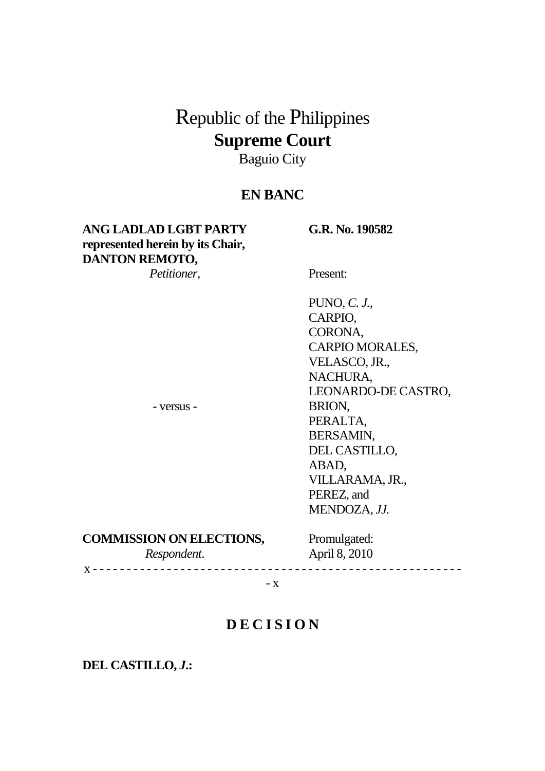Republic of the Philippines **Supreme Court** Baguio City

**EN BANC**

**ANG LADLAD LGBT PARTY G.R. No. 190582 represented herein by its Chair, DANTON REMOTO,**

*Petitioner*, Present:

PUNO, *C. J.,*  CARPIO, CORONA, CARPIO MORALES, VELASCO, JR., NACHURA, LEONARDO-DE CASTRO, - versus - BRION. PERALTA, BERSAMIN, DEL CASTILLO, ABAD, VILLARAMA, JR., PEREZ, and MENDOZA, *JJ.*

**COMMISSION ON ELECTIONS,** Promulgated: *Respondent*. April 8, 2010

x - - - - - - - - - - - - - - - - - - - - - - - - - - - - - - - - - - - - - - - - - - - - - - - - - - - - - - -

- x

# **D E C I S I O N**

**DEL CASTILLO,** *J***.:**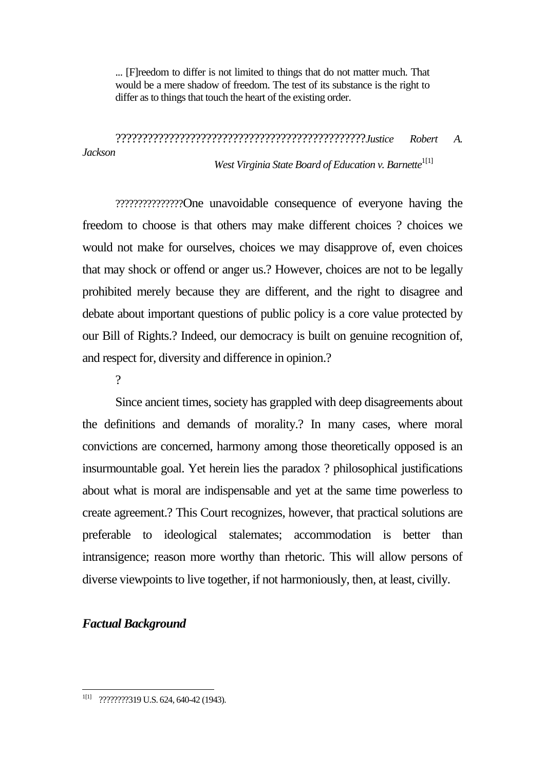... [F]reedom to differ is not limited to things that do not matter much. That would be a mere shadow of freedom. The test of its substance is the right to differ as to things that touch the heart of the existing order.

### ???????????????????????????????????????????????*Justice Robert A. Jackson West Virginia State Board of Education v. Barnette*<sup>1[1]</sup>

???????????????One unavoidable consequence of everyone having the freedom to choose is that others may make different choices ? choices we would not make for ourselves, choices we may disapprove of, even choices that may shock or offend or anger us.? However, choices are not to be legally prohibited merely because they are different, and the right to disagree and debate about important questions of public policy is a core value protected by our Bill of Rights.? Indeed, our democracy is built on genuine recognition of, and respect for, diversity and difference in opinion.?

 $\gamma$ 

Since ancient times, society has grappled with deep disagreements about the definitions and demands of morality.? In many cases, where moral convictions are concerned, harmony among those theoretically opposed is an insurmountable goal. Yet herein lies the paradox ? philosophical justifications about what is moral are indispensable and yet at the same time powerless to create agreement.? This Court recognizes, however, that practical solutions are preferable to ideological stalemates; accommodation is better than intransigence; reason more worthy than rhetoric. This will allow persons of diverse viewpoints to live together, if not harmoniously, then, at least, civilly.

### *Factual Background*

 $1^{11}$  ?????????319 U.S. 624, 640-42 (1943).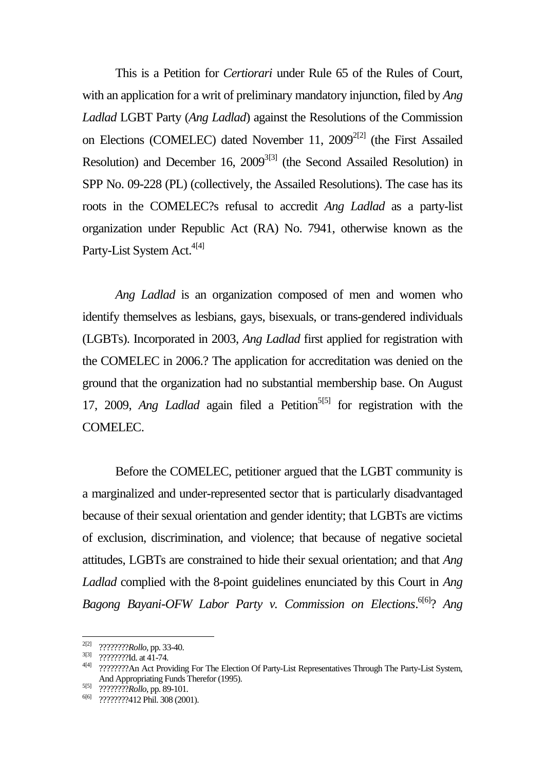This is a Petition for *Certiorari* under Rule 65 of the Rules of Court, with an application for a writ of preliminary mandatory injunction, filed by *Ang Ladlad* LGBT Party (*Ang Ladlad*) against the Resolutions of the Commission on Elections (COMELEC) dated November 11, 2009<sup>2[2]</sup> (the First Assailed Resolution) and December 16,  $2009^{3[3]}$  (the Second Assailed Resolution) in SPP No. 09-228 (PL) (collectively, the Assailed Resolutions). The case has its roots in the COMELEC?s refusal to accredit *Ang Ladlad* as a party-list organization under Republic Act (RA) No. 7941, otherwise known as the Party-List System Act.<sup>4[4]</sup>

*Ang Ladlad* is an organization composed of men and women who identify themselves as lesbians, gays, bisexuals, or trans-gendered individuals (LGBTs). Incorporated in 2003, *Ang Ladlad* first applied for registration with the COMELEC in 2006.? The application for accreditation was denied on the ground that the organization had no substantial membership base. On August 17, 2009, *Ang Ladlad* again filed a Petition<sup> $5[5]$ </sup> for registration with the COMELEC.

Before the COMELEC, petitioner argued that the LGBT community is a marginalized and under-represented sector that is particularly disadvantaged because of their sexual orientation and gender identity; that LGBTs are victims of exclusion, discrimination, and violence; that because of negative societal attitudes, LGBTs are constrained to hide their sexual orientation; and that *Ang Ladlad* complied with the 8-point guidelines enunciated by this Court in *Ang Bagong Bayani-OFW Labor Party v. Commission on Elections*. 6[6]? *Ang* 

<sup>2[2]</sup> ????????*Rollo*, pp. 33-40.

<sup>3[3]</sup> ????????Id. at 41-74.

<sup>&</sup>lt;sup>4[4]</sup> ????????An Act Providing For The Election Of Party-List Representatives Through The Party-List System, And Appropriating Funds Therefor (1995).

<sup>5[5]</sup> ????????*Rollo*, pp. 89-101.

<sup>6[6]</sup> ????????412 Phil. 308 (2001).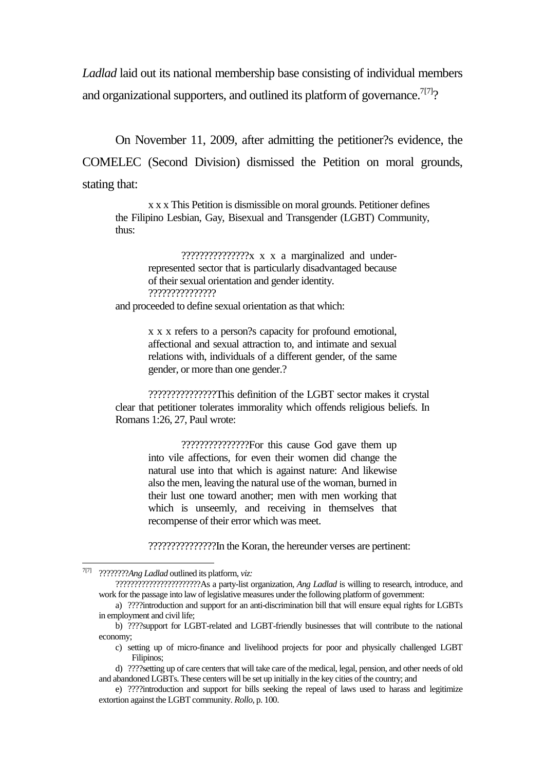*Ladlad* laid out its national membership base consisting of individual members and organizational supporters, and outlined its platform of governance.<sup> $171$ </sup>?

On November 11, 2009, after admitting the petitioner?s evidence, the COMELEC (Second Division) dismissed the Petition on moral grounds, stating that:

x x x This Petition is dismissible on moral grounds. Petitioner defines the Filipino Lesbian, Gay, Bisexual and Transgender (LGBT) Community, thus:

???????????????x x x a marginalized and underrepresented sector that is particularly disadvantaged because of their sexual orientation and gender identity. ???????????????

and proceeded to define sexual orientation as that which:

x x x refers to a person?s capacity for profound emotional, affectional and sexual attraction to, and intimate and sexual relations with, individuals of a different gender, of the same gender, or more than one gender.?

???????????????This definition of the LGBT sector makes it crystal clear that petitioner tolerates immorality which offends religious beliefs. In Romans 1:26, 27, Paul wrote:

> ???????????????For this cause God gave them up into vile affections, for even their women did change the natural use into that which is against nature: And likewise also the men, leaving the natural use of the woman, burned in their lust one toward another; men with men working that which is unseemly, and receiving in themselves that recompense of their error which was meet.

???????????????In the Koran, the hereunder verses are pertinent:

<sup>7[7]</sup> ????????*Ang Ladlad* outlined its platform, *viz:*

<sup>???????????????????????</sup>As a party-list organization*, Ang Ladlad* is willing to research, introduce, and work for the passage into law of legislative measures under the following platform of government:

a) ????introduction and support for an anti-discrimination bill that will ensure equal rights for LGBTs in employment and civil life;

b) ????support for LGBT-related and LGBT-friendly businesses that will contribute to the national economy;

c) setting up of micro-finance and livelihood projects for poor and physically challenged LGBT Filipinos;

d) ????setting up of care centers that will take care of the medical, legal, pension, and other needs of old and abandoned LGBTs. These centers will be set up initially in the key cities of the country; and

e) ????introduction and support for bills seeking the repeal of laws used to harass and legitimize extortion against the LGBT community. *Rollo*, p. 100.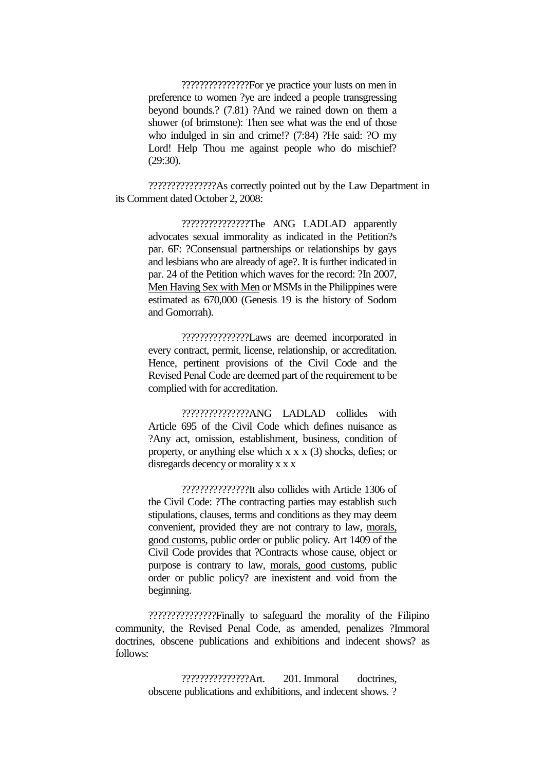???????????????For ye practice your lusts on men in preference to women ?ye are indeed a people transgressing beyond bounds.? (7.81) ?And we rained down on them a shower (of brimstone): Then see what was the end of those who indulged in sin and crime!? (7:84) ?He said: ?O my Lord! Help Thou me against people who do mischief? (29:30).

???????????????As correctly pointed out by the Law Department in its Comment dated October 2, 2008:

> ???????????????The ANG LADLAD apparently advocates sexual immorality as indicated in the Petition?s par. 6F: ?Consensual partnerships or relationships by gays and lesbians who are already of age?. It is further indicated in par. 24 of the Petition which waves for the record: ?In 2007, Men Having Sex with Men or MSMs in the Philippines were estimated as 670,000 (Genesis 19 is the history of Sodom and Gomorrah).

> ???????????????Laws are deemed incorporated in every contract, permit, license, relationship, or accreditation. Hence, pertinent provisions of the Civil Code and the Revised Penal Code are deemed part of the requirement to be complied with for accreditation.

> ???????????????ANG LADLAD collides with Article 695 of the Civil Code which defines nuisance as ?Any act, omission, establishment, business, condition of property, or anything else which x x x (3) shocks, defies; or disregards decency or morality x x x

> ???????????????It also collides with Article 1306 of the Civil Code: ?The contracting parties may establish such stipulations, clauses, terms and conditions as they may deem convenient, provided they are not contrary to law, morals, good customs, public order or public policy. Art 1409 of the Civil Code provides that ?Contracts whose cause, object or purpose is contrary to law, morals, good customs, public order or public policy? are inexistent and void from the beginning.

???????????????Finally to safeguard the morality of the Filipino community, the Revised Penal Code, as amended, penalizes ?Immoral doctrines, obscene publications and exhibitions and indecent shows? as follows:

> ???????????????Art. 201. Immoral doctrines, obscene publications and exhibitions, and indecent shows. ?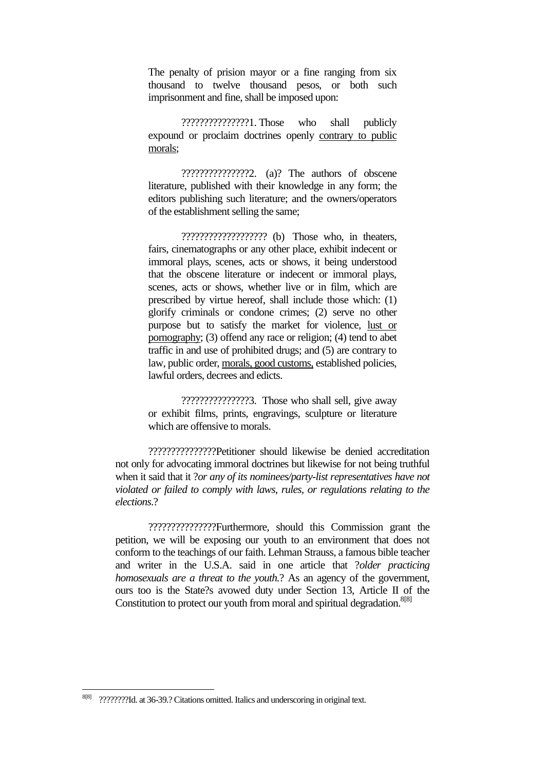The penalty of prision mayor or a fine ranging from six thousand to twelve thousand pesos, or both such imprisonment and fine, shall be imposed upon:

???????????????1. Those who shall publicly expound or proclaim doctrines openly contrary to public morals;

???????????????2. (a)? The authors of obscene literature, published with their knowledge in any form; the editors publishing such literature; and the owners/operators of the establishment selling the same;

??????????????????? (b) Those who, in theaters, fairs, cinematographs or any other place, exhibit indecent or immoral plays, scenes, acts or shows, it being understood that the obscene literature or indecent or immoral plays, scenes, acts or shows, whether live or in film, which are prescribed by virtue hereof, shall include those which: (1) glorify criminals or condone crimes; (2) serve no other purpose but to satisfy the market for violence, lust or pornography; (3) offend any race or religion; (4) tend to abet traffic in and use of prohibited drugs; and (5) are contrary to law, public order, morals, good customs, established policies, lawful orders, decrees and edicts.

???????????????3. Those who shall sell, give away or exhibit films, prints, engravings, sculpture or literature which are offensive to morals.

???????????????Petitioner should likewise be denied accreditation not only for advocating immoral doctrines but likewise for not being truthful when it said that it ?*or any of its nominees/party-list representatives have not violated or failed to comply with laws, rules, or regulations relating to the elections*.?

???????????????Furthermore, should this Commission grant the petition, we will be exposing our youth to an environment that does not conform to the teachings of our faith. Lehman Strauss, a famous bible teacher and writer in the U.S.A. said in one article that ?*older practicing homosexuals are a threat to the youth.*? As an agency of the government, ours too is the State?s avowed duty under Section 13, Article II of the Constitution to protect our youth from moral and spiritual degradation.<sup>8[8]</sup>

<sup>8[8] ?????????</sup>Id. at 36-39.? Citations omitted. Italics and underscoring in original text.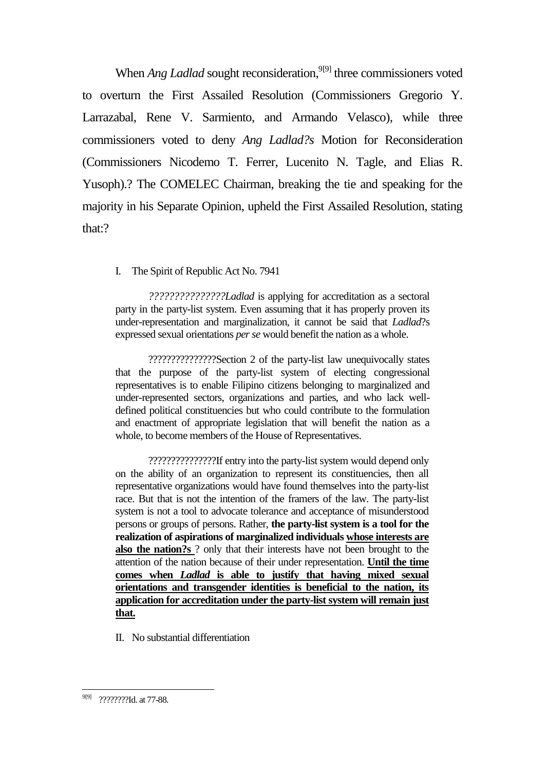When *Ang Ladlad* sought reconsideration,<sup>9[9]</sup> three commissioners voted to overturn the First Assailed Resolution (Commissioners Gregorio Y. Larrazabal, Rene V. Sarmiento, and Armando Velasco), while three commissioners voted to deny *Ang Ladlad?s* Motion for Reconsideration (Commissioners Nicodemo T. Ferrer, Lucenito N. Tagle, and Elias R. Yusoph).? The COMELEC Chairman, breaking the tie and speaking for the majority in his Separate Opinion, upheld the First Assailed Resolution, stating that:?

### I. The Spirit of Republic Act No. 7941

*???????????????Ladlad* is applying for accreditation as a sectoral party in the party-list system. Even assuming that it has properly proven its under-representation and marginalization, it cannot be said that *Ladlad*?s expressed sexual orientations *per se* would benefit the nation as a whole.

???????????????Section 2 of the party-list law unequivocally states that the purpose of the party-list system of electing congressional representatives is to enable Filipino citizens belonging to marginalized and under-represented sectors, organizations and parties, and who lack welldefined political constituencies but who could contribute to the formulation and enactment of appropriate legislation that will benefit the nation as a whole, to become members of the House of Representatives.

???????????????If entry into the party-list system would depend only on the ability of an organization to represent its constituencies, then all representative organizations would have found themselves into the party-list race. But that is not the intention of the framers of the law. The party-list system is not a tool to advocate tolerance and acceptance of misunderstood persons or groups of persons. Rather, **the party-list system is a tool for the realization of aspirations of marginalized individuals whose interests are also the nation?s** ? only that their interests have not been brought to the attention of the nation because of their under representation. **Until the time comes when** *Ladlad* **is able to justify that having mixed sexual orientations and transgender identities is beneficial to the nation, its application for accreditation under the party-list system will remain just that.**

II. No substantial differentiation

<sup>9[9] ?????????</sup>Id. at 77-88.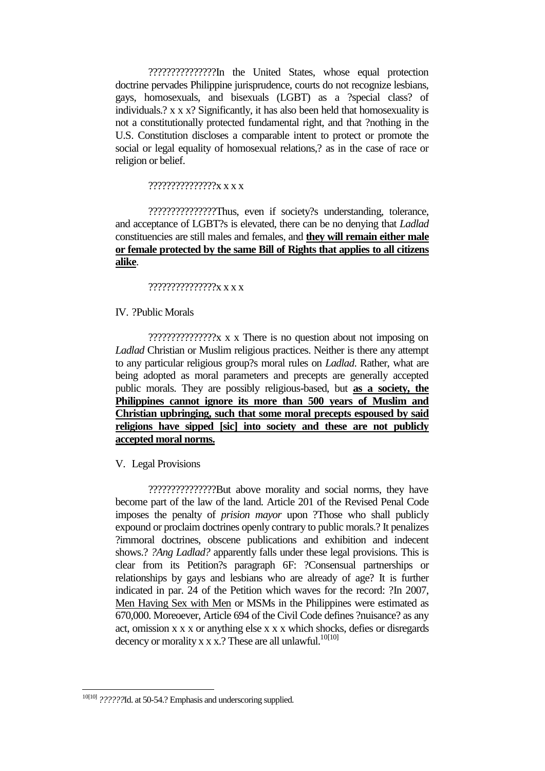???????????????In the United States, whose equal protection doctrine pervades Philippine jurisprudence, courts do not recognize lesbians, gays, homosexuals, and bisexuals (LGBT) as a ?special class? of individuals.? x x x? Significantly, it has also been held that homosexuality is not a constitutionally protected fundamental right, and that ?nothing in the U.S. Constitution discloses a comparable intent to protect or promote the social or legal equality of homosexual relations,? as in the case of race or religion or belief.

#### ???????????????x x x x

???????????????Thus, even if society?s understanding, tolerance, and acceptance of LGBT?s is elevated, there can be no denying that *Ladlad* constituencies are still males and females, and **they will remain either male or female protected by the same Bill of Rights that applies to all citizens alike**.

???????????????x x x x

#### IV. ?Public Morals

???????????????x x x There is no question about not imposing on *Ladlad* Christian or Muslim religious practices. Neither is there any attempt to any particular religious group?s moral rules on *Ladlad*. Rather, what are being adopted as moral parameters and precepts are generally accepted public morals. They are possibly religious-based, but **as a society, the Philippines cannot ignore its more than 500 years of Muslim and Christian upbringing, such that some moral precepts espoused by said religions have sipped [sic] into society and these are not publicly accepted moral norms.**

### V. Legal Provisions

???????????????But above morality and social norms, they have become part of the law of the land. Article 201 of the Revised Penal Code imposes the penalty of *prision mayor* upon ?Those who shall publicly expound or proclaim doctrines openly contrary to public morals.? It penalizes ?immoral doctrines, obscene publications and exhibition and indecent shows.? *?Ang Ladlad?* apparently falls under these legal provisions. This is clear from its Petition?s paragraph 6F: ?Consensual partnerships or relationships by gays and lesbians who are already of age? It is further indicated in par. 24 of the Petition which waves for the record: ?In 2007, Men Having Sex with Men or MSMs in the Philippines were estimated as 670,000. Moreoever, Article 694 of the Civil Code defines ?nuisance? as any act, omission x x x or anything else x x x which shocks, defies or disregards decency or morality x x x.? These are all unlawful.<sup>10[10]</sup>

<sup>&</sup>lt;sup>10[10]</sup> ???????Id. at 50-54.? Emphasis and underscoring supplied.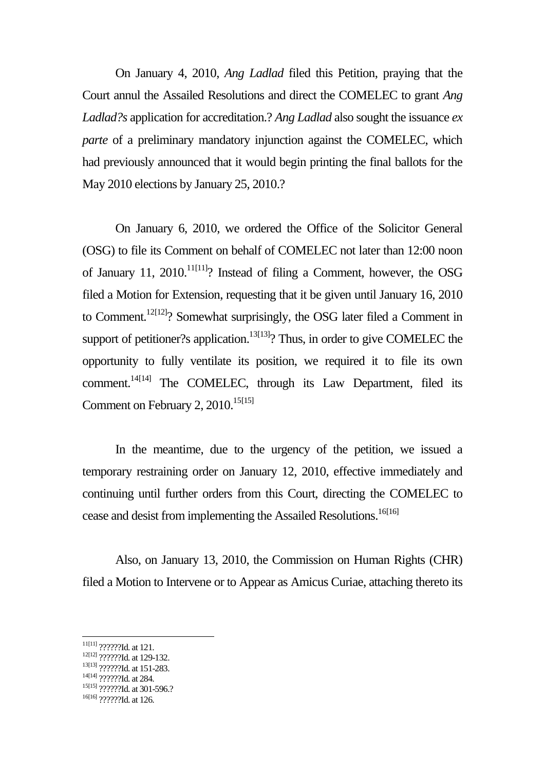On January 4, 2010, *Ang Ladlad* filed this Petition, praying that the Court annul the Assailed Resolutions and direct the COMELEC to grant *Ang Ladlad?s* application for accreditation.? *Ang Ladlad* also sought the issuance *ex parte* of a preliminary mandatory injunction against the COMELEC, which had previously announced that it would begin printing the final ballots for the May 2010 elections by January 25, 2010.?

On January 6, 2010, we ordered the Office of the Solicitor General (OSG) to file its Comment on behalf of COMELEC not later than 12:00 noon of January 11, 2010.<sup>11[11]</sup>? Instead of filing a Comment, however, the OSG filed a Motion for Extension, requesting that it be given until January 16, 2010 to Comment.12[12]? Somewhat surprisingly, the OSG later filed a Comment in support of petitioner?s application.<sup>13[13]</sup>? Thus, in order to give COMELEC the opportunity to fully ventilate its position, we required it to file its own comment.<sup>14[14]</sup> The COMELEC, through its Law Department, filed its Comment on February 2, 2010.<sup>15[15]</sup>

In the meantime, due to the urgency of the petition, we issued a temporary restraining order on January 12, 2010, effective immediately and continuing until further orders from this Court, directing the COMELEC to cease and desist from implementing the Assailed Resolutions.<sup>16[16]</sup>

Also, on January 13, 2010, the Commission on Human Rights (CHR) filed a Motion to Intervene or to Appear as Amicus Curiae, attaching thereto its

<sup>11[11]</sup> ??????Id. at 121.

<sup>12[12]</sup> ??????Id. at 129-132.

<sup>13[13]</sup> ??????Id. at 151-283.

<sup>14[14] ??????</sup>Id. at 284.

<sup>15[15]</sup> ??????Id. at 301-596.?

<sup>16[16]</sup> ??????Id. at 126.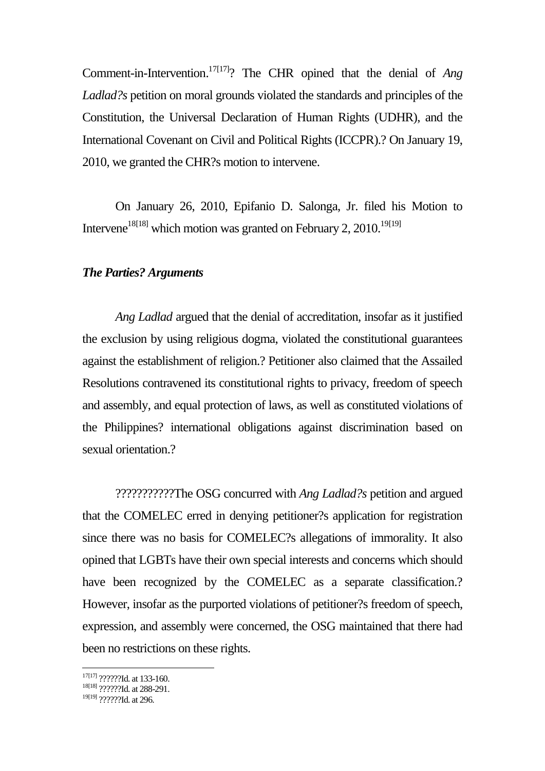Comment-in-Intervention. 17[17]? The CHR opined that the denial of *Ang Ladlad?s* petition on moral grounds violated the standards and principles of the Constitution, the Universal Declaration of Human Rights (UDHR), and the International Covenant on Civil and Political Rights (ICCPR).? On January 19, 2010, we granted the CHR?s motion to intervene.

On January 26, 2010, Epifanio D. Salonga, Jr. filed his Motion to Intervene<sup>18[18]</sup> which motion was granted on February 2, 2010.<sup>19[19]</sup>

### *The Parties? Arguments*

*Ang Ladlad* argued that the denial of accreditation, insofar as it justified the exclusion by using religious dogma, violated the constitutional guarantees against the establishment of religion.? Petitioner also claimed that the Assailed Resolutions contravened its constitutional rights to privacy, freedom of speech and assembly, and equal protection of laws, as well as constituted violations of the Philippines? international obligations against discrimination based on sexual orientation.?

???????????The OSG concurred with *Ang Ladlad?s* petition and argued that the COMELEC erred in denying petitioner?s application for registration since there was no basis for COMELEC?s allegations of immorality. It also opined that LGBTs have their own special interests and concerns which should have been recognized by the COMELEC as a separate classification.? However, insofar as the purported violations of petitioner?s freedom of speech, expression, and assembly were concerned, the OSG maintained that there had been no restrictions on these rights.

<u>.</u>

<sup>17[17] ??????</sup>Id. at 133-160.

 $^{18[18]}$  ??????Id. at 288-291.

<sup>19[19]</sup> ??????Id. at 296.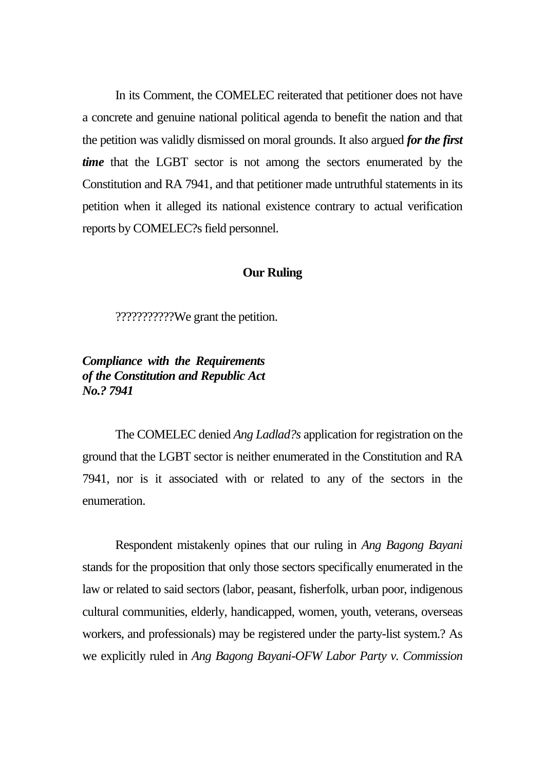In its Comment, the COMELEC reiterated that petitioner does not have a concrete and genuine national political agenda to benefit the nation and that the petition was validly dismissed on moral grounds. It also argued *for the first time* that the LGBT sector is not among the sectors enumerated by the Constitution and RA 7941, and that petitioner made untruthful statements in its petition when it alleged its national existence contrary to actual verification reports by COMELEC?s field personnel.

## **Our Ruling**

???????????We grant the petition.

*Compliance with the Requirements of the Constitution and Republic Act No.? 7941*

The COMELEC denied *Ang Ladlad?s* application for registration on the ground that the LGBT sector is neither enumerated in the Constitution and RA 7941, nor is it associated with or related to any of the sectors in the enumeration.

Respondent mistakenly opines that our ruling in *Ang Bagong Bayani*  stands for the proposition that only those sectors specifically enumerated in the law or related to said sectors (labor, peasant, fisherfolk, urban poor, indigenous cultural communities, elderly, handicapped, women, youth, veterans, overseas workers, and professionals) may be registered under the party-list system.? As we explicitly ruled in *Ang Bagong Bayani-OFW Labor Party v. Commission*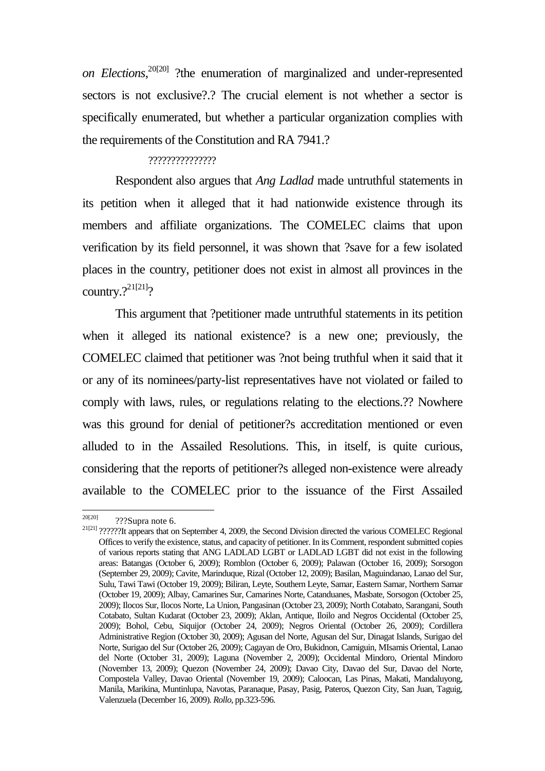*on Elections*, 20[20] ?the enumeration of marginalized and under-represented sectors is not exclusive?.? The crucial element is not whether a sector is specifically enumerated, but whether a particular organization complies with the requirements of the Constitution and RA 7941.?

### ???????????????

Respondent also argues that *Ang Ladlad* made untruthful statements in its petition when it alleged that it had nationwide existence through its members and affiliate organizations. The COMELEC claims that upon verification by its field personnel, it was shown that ?save for a few isolated places in the country, petitioner does not exist in almost all provinces in the country.? $^{21[21]}$ ?

This argument that ?petitioner made untruthful statements in its petition when it alleged its national existence? is a new one; previously, the COMELEC claimed that petitioner was ?not being truthful when it said that it or any of its nominees/party-list representatives have not violated or failed to comply with laws, rules, or regulations relating to the elections.?? Nowhere was this ground for denial of petitioner?s accreditation mentioned or even alluded to in the Assailed Resolutions. This, in itself, is quite curious, considering that the reports of petitioner?s alleged non-existence were already available to the COMELEC prior to the issuance of the First Assailed

<sup>20[20]</sup> ???Supra note 6.

<sup>21[21]</sup> ??????It appears that on September 4, 2009, the Second Division directed the various COMELEC Regional Offices to verify the existence, status, and capacity of petitioner. In its Comment, respondent submitted copies of various reports stating that ANG LADLAD LGBT or LADLAD LGBT did not exist in the following areas: Batangas (October 6, 2009); Romblon (October 6, 2009); Palawan (October 16, 2009); Sorsogon (September 29, 2009); Cavite, Marinduque, Rizal (October 12, 2009); Basilan, Maguindanao, Lanao del Sur, Sulu, Tawi Tawi (October 19, 2009); Biliran, Leyte, Southern Leyte, Samar, Eastern Samar, Northern Samar (October 19, 2009); Albay, Camarines Sur, Camarines Norte, Catanduanes, Masbate, Sorsogon (October 25, 2009); Ilocos Sur, Ilocos Norte, La Union, Pangasinan (October 23, 2009); North Cotabato, Sarangani, South Cotabato, Sultan Kudarat (October 23, 2009); Aklan, Antique, Iloilo and Negros Occidental (October 25, 2009); Bohol, Cebu, Siquijor (October 24, 2009); Negros Oriental (October 26, 2009); Cordillera Administrative Region (October 30, 2009); Agusan del Norte, Agusan del Sur, Dinagat Islands, Surigao del Norte, Surigao del Sur (October 26, 2009); Cagayan de Oro, Bukidnon, Camiguin, MIsamis Oriental, Lanao del Norte (October 31, 2009); Laguna (November 2, 2009); Occidental Mindoro, Oriental Mindoro (November 13, 2009); Quezon (November 24, 2009); Davao City, Davao del Sur, Davao del Norte, Compostela Valley, Davao Oriental (November 19, 2009); Caloocan, Las Pinas, Makati, Mandaluyong, Manila, Marikina, Muntinlupa, Navotas, Paranaque, Pasay, Pasig, Pateros, Quezon City, San Juan, Taguig, Valenzuela (December 16, 2009). *Rollo*, pp.323-596.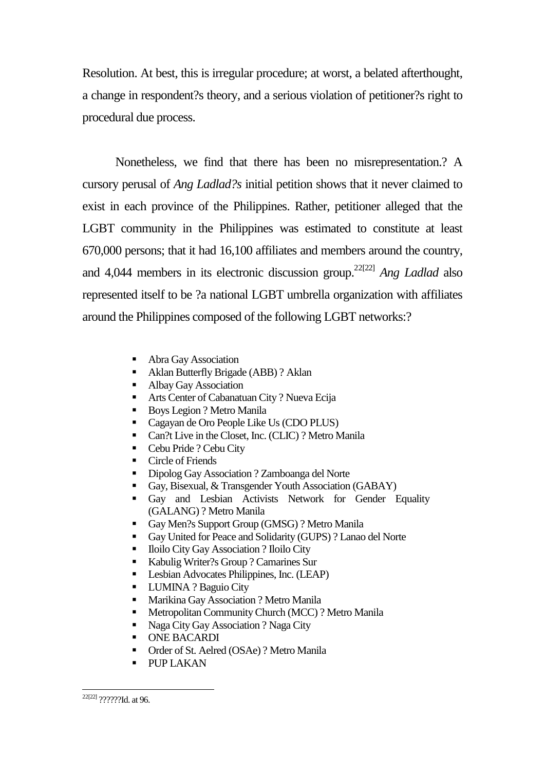Resolution. At best, this is irregular procedure; at worst, a belated afterthought, a change in respondent?s theory, and a serious violation of petitioner?s right to procedural due process.

Nonetheless, we find that there has been no misrepresentation.? A cursory perusal of *Ang Ladlad?s* initial petition shows that it never claimed to exist in each province of the Philippines. Rather, petitioner alleged that the LGBT community in the Philippines was estimated to constitute at least 670,000 persons; that it had 16,100 affiliates and members around the country, and 4,044 members in its electronic discussion group.22[22] *Ang Ladlad* also represented itself to be ?a national LGBT umbrella organization with affiliates around the Philippines composed of the following LGBT networks:?

- Abra Gay Association
- Aklan Butterfly Brigade (ABB) ? Aklan
- Albay Gay Association
- Arts Center of Cabanatuan City ? Nueva Ecija
- Boys Legion ? Metro Manila
- Cagayan de Oro People Like Us (CDO PLUS)
- Can?t Live in the Closet, Inc. (CLIC) ? Metro Manila
- Cebu Pride ? Cebu City
- Circle of Friends
- Dipolog Gay Association ? Zamboanga del Norte
- Gay, Bisexual, & Transgender Youth Association (GABAY)
- Gay and Lesbian Activists Network for Gender Equality (GALANG) ? Metro Manila
- Gay Men?s Support Group (GMSG) ? Metro Manila
- Gay United for Peace and Solidarity (GUPS) ? Lanao del Norte
- Iloilo City Gay Association ? Iloilo City
- Kabulig Writer?s Group ? Camarines Sur
- **Lesbian Advocates Philippines, Inc. (LEAP)**
- **LUMINA** ? Baguio City
- **Marikina Gay Association ? Metro Manila**
- Metropolitan Community Church (MCC) ? Metro Manila
- Naga City Gay Association ? Naga City
- ONE BACARDI
- Order of St. Aelred (OSAe) ? Metro Manila
- **PUP LAKAN**

<sup>1</sup> <sup>22[22]</sup> ??????Id. at 96.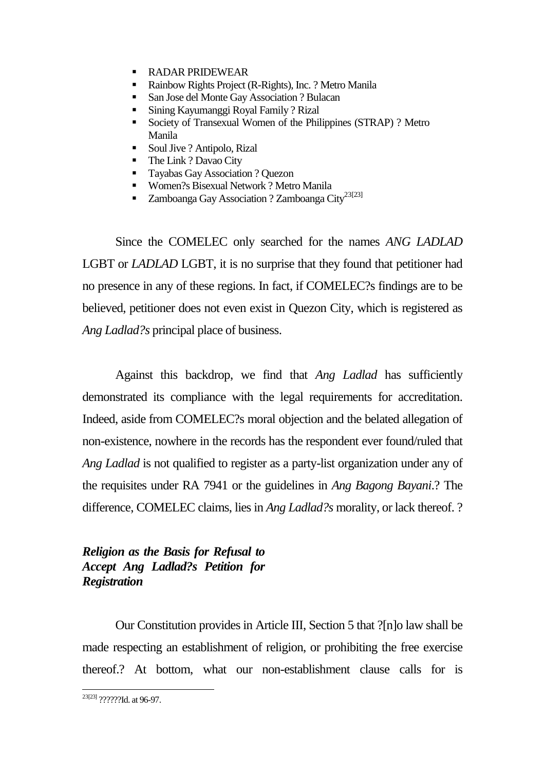- RADAR PRIDEWEAR
- Rainbow Rights Project (R-Rights), Inc. ? Metro Manila
- San Jose del Monte Gay Association ? Bulacan
- Sining Kayumanggi Royal Family ? Rizal
- Society of Transexual Women of the Philippines (STRAP) ? Metro Manila
- Soul Jive ? Antipolo, Rizal
- The Link ? Davao City
- Tayabas Gay Association ? Quezon
- Women?s Bisexual Network ? Metro Manila
- Zamboanga Gay Association ? Zamboanga City<sup>23[23]</sup>

Since the COMELEC only searched for the names *ANG LADLAD* LGBT or *LADLAD* LGBT, it is no surprise that they found that petitioner had no presence in any of these regions. In fact, if COMELEC?s findings are to be believed, petitioner does not even exist in Quezon City, which is registered as *Ang Ladlad?s* principal place of business.

Against this backdrop, we find that *Ang Ladlad* has sufficiently demonstrated its compliance with the legal requirements for accreditation. Indeed, aside from COMELEC?s moral objection and the belated allegation of non-existence, nowhere in the records has the respondent ever found/ruled that *Ang Ladlad* is not qualified to register as a party-list organization under any of the requisites under RA 7941 or the guidelines in *Ang Bagong Bayani*.? The difference, COMELEC claims, lies in *Ang Ladlad?s* morality, or lack thereof. ?

# *Religion as the Basis for Refusal to Accept Ang Ladlad?s Petition for Registration*

Our Constitution provides in Article III, Section 5 that ?[n]o law shall be made respecting an establishment of religion, or prohibiting the free exercise thereof.? At bottom, what our non-establishment clause calls for is

<sup>1</sup> <sup>23[23]</sup> ??????Id. at 96-97.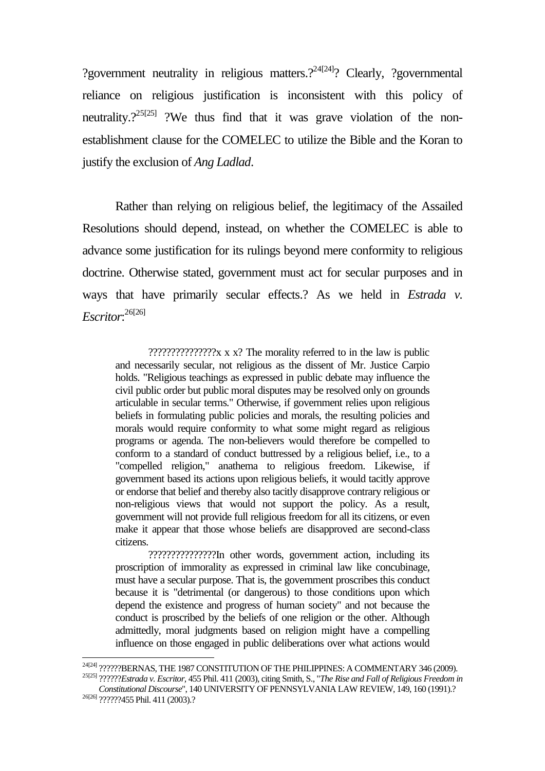?government neutrality in religious matters.? $2^{24[24]}$ ? Clearly, ?governmental reliance on religious justification is inconsistent with this policy of neutrality.?<sup>25[25]</sup> ?We thus find that it was grave violation of the nonestablishment clause for the COMELEC to utilize the Bible and the Koran to justify the exclusion of *Ang Ladlad*.

Rather than relying on religious belief, the legitimacy of the Assailed Resolutions should depend, instead, on whether the COMELEC is able to advance some justification for its rulings beyond mere conformity to religious doctrine. Otherwise stated, government must act for secular purposes and in ways that have primarily secular effects.? As we held in *Estrada v. Escritor*: 26[26]

???????????????x x x? The morality referred to in the law is public and necessarily secular, not religious as the dissent of Mr. Justice Carpio holds. "Religious teachings as expressed in public debate may influence the civil public order but public moral disputes may be resolved only on grounds articulable in secular terms." Otherwise, if government relies upon religious beliefs in formulating public policies and morals, the resulting policies and morals would require conformity to what some might regard as religious programs or agenda. The non-believers would therefore be compelled to conform to a standard of conduct buttressed by a religious belief, i.e., to a "compelled religion," anathema to religious freedom. Likewise, if government based its actions upon religious beliefs, it would tacitly approve or endorse that belief and thereby also tacitly disapprove contrary religious or non-religious views that would not support the policy. As a result, government will not provide full religious freedom for all its citizens, or even make it appear that those whose beliefs are disapproved are second-class citizens.

???????????????In other words, government action, including its proscription of immorality as expressed in criminal law like concubinage, must have a secular purpose. That is, the government proscribes this conduct because it is "detrimental (or dangerous) to those conditions upon which depend the existence and progress of human society" and not because the conduct is proscribed by the beliefs of one religion or the other. Although admittedly, moral judgments based on religion might have a compelling influence on those engaged in public deliberations over what actions would

 $^{24[24]}$  ??????BERNAS, THE 1987 CONSTITUTION OF THE PHILIPPINES: A COMMENTARY 346 (2009). 25[25] ??????*Estrada v. Escritor,* 455 Phil. 411 (2003), citing Smith, S., "*The Rise and Fall of Religious Freedom in* 

*Constitutional Discourse*", 140 UNIVERSITY OF PENNSYLVANIA LAW REVIEW, 149, 160 (1991).? 26[26] ??????455 Phil. 411 (2003).?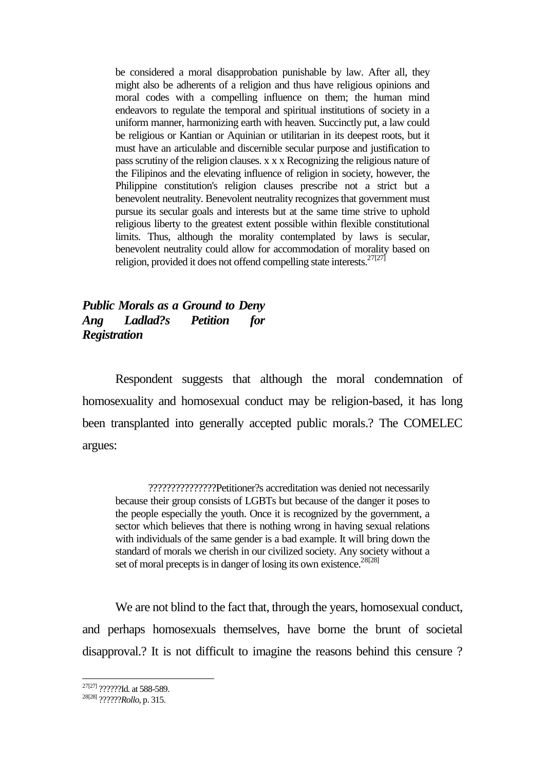be considered a moral disapprobation punishable by law. After all, they might also be adherents of a religion and thus have religious opinions and moral codes with a compelling influence on them; the human mind endeavors to regulate the temporal and spiritual institutions of society in a uniform manner, harmonizing earth with heaven. Succinctly put, a law could be religious or Kantian or Aquinian or utilitarian in its deepest roots, but it must have an articulable and discernible secular purpose and justification to pass scrutiny of the religion clauses. x x x Recognizing the religious nature of the Filipinos and the elevating influence of religion in society, however, the Philippine constitution's religion clauses prescribe not a strict but a benevolent neutrality. Benevolent neutrality recognizes that government must pursue its secular goals and interests but at the same time strive to uphold religious liberty to the greatest extent possible within flexible constitutional limits. Thus, although the morality contemplated by laws is secular, benevolent neutrality could allow for accommodation of morality based on religion, provided it does not offend compelling state interests. $27[27]$ 

# *Public Morals as a Ground to Deny Ang Ladlad?s Petition for Registration*

Respondent suggests that although the moral condemnation of homosexuality and homosexual conduct may be religion-based, it has long been transplanted into generally accepted public morals.? The COMELEC argues:

???????????????Petitioner?s accreditation was denied not necessarily because their group consists of LGBTs but because of the danger it poses to the people especially the youth. Once it is recognized by the government, a sector which believes that there is nothing wrong in having sexual relations with individuals of the same gender is a bad example. It will bring down the standard of morals we cherish in our civilized society. Any society without a set of moral precepts is in danger of losing its own existence.<sup>28[28]</sup>

We are not blind to the fact that, through the years, homosexual conduct, and perhaps homosexuals themselves, have borne the brunt of societal disapproval.? It is not difficult to imagine the reasons behind this censure ?

<u>.</u>

<sup>27[27]</sup> ??????Id*.* at 588-589.

<sup>28[28]</sup> ??????*Rollo*, p. 315.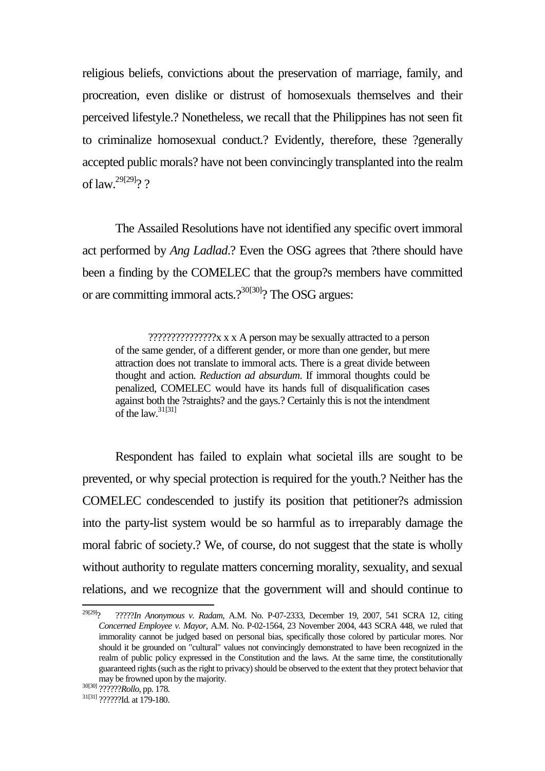religious beliefs, convictions about the preservation of marriage, family, and procreation, even dislike or distrust of homosexuals themselves and their perceived lifestyle.? Nonetheless, we recall that the Philippines has not seen fit to criminalize homosexual conduct.? Evidently, therefore, these ?generally accepted public morals? have not been convincingly transplanted into the realm of law.<sup>29[29]</sup>? ?

The Assailed Resolutions have not identified any specific overt immoral act performed by *Ang Ladlad*.? Even the OSG agrees that ?there should have been a finding by the COMELEC that the group?s members have committed or are committing immoral acts. $?^{30[30]}$ ? The OSG argues:

???????????????x x x A person may be sexually attracted to a person of the same gender, of a different gender, or more than one gender, but mere attraction does not translate to immoral acts. There is a great divide between thought and action. *Reduction ad absurdum*. If immoral thoughts could be penalized, COMELEC would have its hands full of disqualification cases against both the ?straights? and the gays.? Certainly this is not the intendment of the law.31[31]

Respondent has failed to explain what societal ills are sought to be prevented, or why special protection is required for the youth.? Neither has the COMELEC condescended to justify its position that petitioner?s admission into the party-list system would be so harmful as to irreparably damage the moral fabric of society.? We, of course, do not suggest that the state is wholly without authority to regulate matters concerning morality, sexuality, and sexual relations, and we recognize that the government will and should continue to

 $29[29]_2$ 29[29]? ?????*In Anonymous v. Radam*, A.M. No. P-07-2333, December 19, 2007, 541 SCRA 12, citing *[Concerned Employee v. Mayor](http://www.lawphil.net/judjuris/juri2004/nov2004/am_p_02_1564_2004.html)*, A.M. No. P-02-1564, 23 November 2004, 443 SCRA 448, we ruled that immorality cannot be judged based on personal bias, specifically those colored by particular mores. Nor should it be grounded on "cultural" values not convincingly demonstrated to have been recognized in the realm of public policy expressed in the Constitution and the laws. At the same time, the constitutionally guaranteed rights (such as the right to privacy) should be observed to the extent that they protect behavior that may be frowned upon by the majority.

<sup>30[30]</sup> ??????*Rollo,* pp. 178.

<sup>31[31]</sup> ??????Id*.* at 179-180.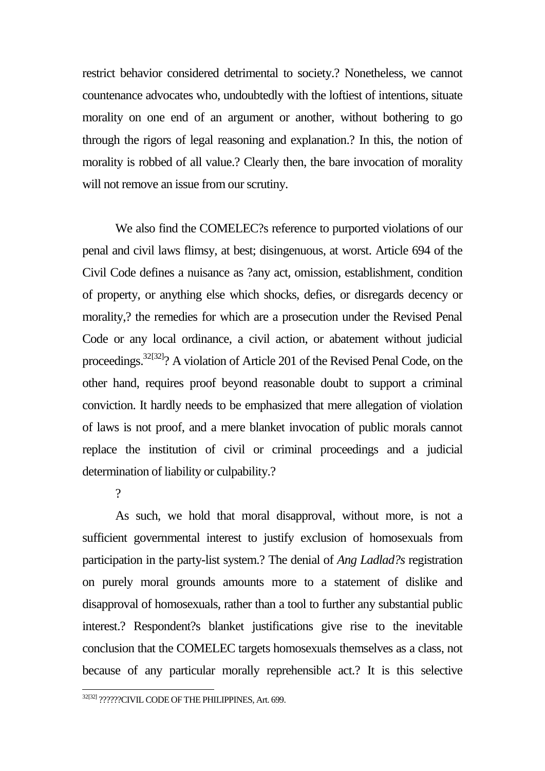restrict behavior considered detrimental to society.? Nonetheless, we cannot countenance advocates who, undoubtedly with the loftiest of intentions, situate morality on one end of an argument or another, without bothering to go through the rigors of legal reasoning and explanation.? In this, the notion of morality is robbed of all value.? Clearly then, the bare invocation of morality will not remove an issue from our scrutiny.

We also find the COMELEC?s reference to purported violations of our penal and civil laws flimsy, at best; disingenuous, at worst. Article 694 of the Civil Code defines a nuisance as ?any act, omission, establishment, condition of property, or anything else which shocks, defies, or disregards decency or morality,? the remedies for which are a prosecution under the Revised Penal Code or any local ordinance, a civil action, or abatement without judicial proceedings.32[32]? A violation of Article 201 of the Revised Penal Code, on the other hand, requires proof beyond reasonable doubt to support a criminal conviction. It hardly needs to be emphasized that mere allegation of violation of laws is not proof, and a mere blanket invocation of public morals cannot replace the institution of civil or criminal proceedings and a judicial determination of liability or culpability.?

 $\gamma$ 

1

As such, we hold that moral disapproval, without more, is not a sufficient governmental interest to justify exclusion of homosexuals from participation in the party-list system.? The denial of *Ang Ladlad?s* registration on purely moral grounds amounts more to a statement of dislike and disapproval of homosexuals, rather than a tool to further any substantial public interest.? Respondent?s blanket justifications give rise to the inevitable conclusion that the COMELEC targets homosexuals themselves as a class, not because of any particular morally reprehensible act.? It is this selective

<sup>&</sup>lt;sup>32[32]</sup> ??????CIVIL CODE OF THE PHILIPPINES, Art. 699.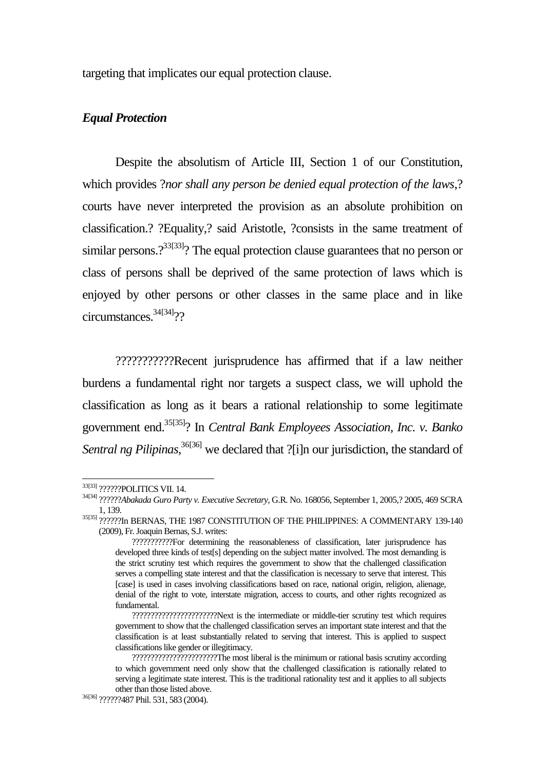targeting that implicates our equal protection clause.

## *Equal Protection*

Despite the absolutism of Article III, Section 1 of our Constitution, which provides ?*nor shall any person be denied equal protection of the laws*,? courts have never interpreted the provision as an absolute prohibition on classification.? ?Equality,? said Aristotle, ?consists in the same treatment of similar persons.<sup> $2^{33[33]}$ </sup>? The equal protection clause guarantees that no person or class of persons shall be deprived of the same protection of laws which is enjoyed by other persons or other classes in the same place and in like circumstances.<sup>34[34]</sup>??

???????????Recent jurisprudence has affirmed that if a law neither burdens a fundamental right nor targets a suspect class, we will uphold the classification as long as it bears a rational relationship to some legitimate government end.35[35]? In *Central Bank Employees Association, Inc. v. Banko*  Sentral ng Pilipinas,<sup>36[36]</sup> we declared that ?[i]n our jurisdiction, the standard of

<u>.</u>

<sup>33[33] ??????</sup>POLITICS VII. 14.

<sup>34[34]</sup> ??????*Abakada Guro Party v. Executive Secretary*, G.R. No. 168056, September 1, 2005,? 2005, 469 SCRA 1, 139.

<sup>&</sup>lt;sup>35[35]</sup> ??????!In BERNAS, THE 1987 CONSTITUTION OF THE PHILIPPINES: A COMMENTARY 139-140 (2009), Fr. Joaquin Bernas, S.J. writes:

<sup>???????????</sup>For determining the reasonableness of classification, later jurisprudence has developed three kinds of test[s] depending on the subject matter involved. The most demanding is the strict scrutiny test which requires the government to show that the challenged classification serves a compelling state interest and that the classification is necessary to serve that interest. This [case] is used in cases involving classifications based on race, national origin, religion, alienage, denial of the right to vote, interstate migration, access to courts, and other rights recognized as fundamental.

<sup>???????????????????????</sup>Next is the intermediate or middle-tier scrutiny test which requires government to show that the challenged classification serves an important state interest and that the classification is at least substantially related to serving that interest. This is applied to suspect classifications like gender or illegitimacy.

<sup>???????????????????????</sup>The most liberal is the minimum or rational basis scrutiny according to which government need only show that the challenged classification is rationally related to serving a legitimate state interest. This is the traditional rationality test and it applies to all subjects other than those listed above.

<sup>36[36]</sup> ??????487 Phil. 531, 583 (2004).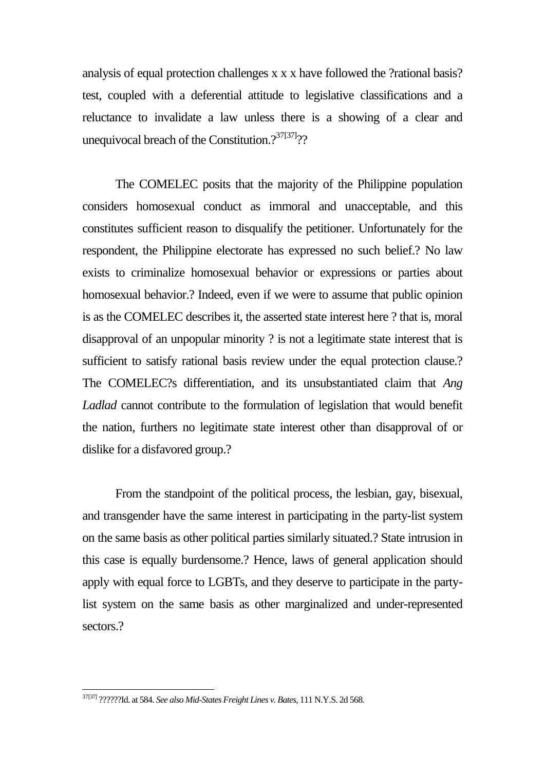analysis of equal protection challenges x x x have followed the ?rational basis? test, coupled with a deferential attitude to legislative classifications and a reluctance to invalidate a law unless there is a showing of a clear and unequivocal breach of the Constitution.?<sup>37[37]</sup>??

The COMELEC posits that the majority of the Philippine population considers homosexual conduct as immoral and unacceptable, and this constitutes sufficient reason to disqualify the petitioner. Unfortunately for the respondent, the Philippine electorate has expressed no such belief.? No law exists to criminalize homosexual behavior or expressions or parties about homosexual behavior.? Indeed, even if we were to assume that public opinion is as the COMELEC describes it, the asserted state interest here ? that is, moral disapproval of an unpopular minority ? is not a legitimate state interest that is sufficient to satisfy rational basis review under the equal protection clause.? The COMELEC?s differentiation, and its unsubstantiated claim that *Ang Ladlad* cannot contribute to the formulation of legislation that would benefit the nation, furthers no legitimate state interest other than disapproval of or dislike for a disfavored group.?

From the standpoint of the political process, the lesbian, gay, bisexual, and transgender have the same interest in participating in the party-list system on the same basis as other political parties similarly situated.? State intrusion in this case is equally burdensome.? Hence, laws of general application should apply with equal force to LGBTs, and they deserve to participate in the partylist system on the same basis as other marginalized and under-represented sectors.?

<sup>37[37]</sup> ??????Id. at 584. *See also Mid-States Freight Lines v. Bates*, 111 N.Y.S. 2d 568.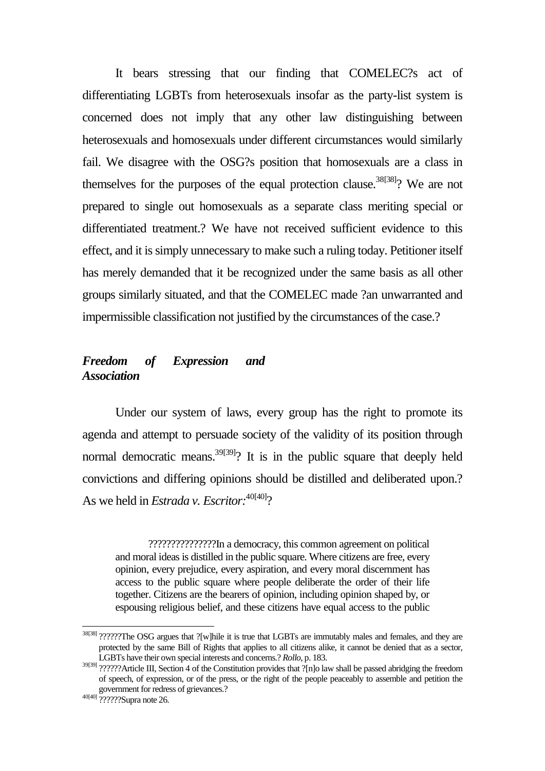It bears stressing that our finding that COMELEC?s act of differentiating LGBTs from heterosexuals insofar as the party-list system is concerned does not imply that any other law distinguishing between heterosexuals and homosexuals under different circumstances would similarly fail. We disagree with the OSG?s position that homosexuals are a class in themselves for the purposes of the equal protection clause.<sup>38[38]</sup>? We are not prepared to single out homosexuals as a separate class meriting special or differentiated treatment.? We have not received sufficient evidence to this effect, and it is simply unnecessary to make such a ruling today. Petitioner itself has merely demanded that it be recognized under the same basis as all other groups similarly situated, and that the COMELEC made ?an unwarranted and impermissible classification not justified by the circumstances of the case.?

# *Freedom of Expression and Association*

Under our system of laws, every group has the right to promote its agenda and attempt to persuade society of the validity of its position through normal democratic means.<sup>39[39]</sup>? It is in the public square that deeply held convictions and differing opinions should be distilled and deliberated upon.? As we held in *Estrada v. Escritor:*40[40]?

???????????????In a democracy, this common agreement on political and moral ideas is distilled in the public square. Where citizens are free, every opinion, every prejudice, every aspiration, and every moral discernment has access to the public square where people deliberate the order of their life together. Citizens are the bearers of opinion, including opinion shaped by, or espousing religious belief, and these citizens have equal access to the public

<sup>&</sup>lt;sup>38[38]</sup> ???????The OSG argues that ?[w]hile it is true that LGBTs are immutably males and females, and they are protected by the same Bill of Rights that applies to all citizens alike, it cannot be denied that as a sector, LGBTs have their own special interests and concerns.? *Rollo*, p. 183.

<sup>&</sup>lt;sup>39[39]</sup> ??????Article III, Section 4 of the Constitution provides that ?[n]o law shall be passed abridging the freedom of speech, of expression, or of the press, or the right of the people peaceably to assemble and petition the government for redress of grievances.?

<sup>40[40] ??????</sup>Supra note 26.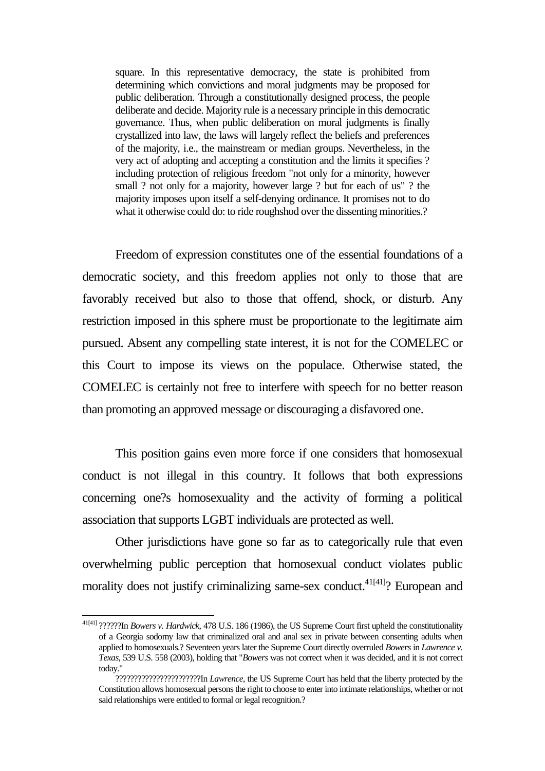square. In this representative democracy, the state is prohibited from determining which convictions and moral judgments may be proposed for public deliberation. Through a constitutionally designed process, the people deliberate and decide. Majority rule is a necessary principle in this democratic governance. Thus, when public deliberation on moral judgments is finally crystallized into law, the laws will largely reflect the beliefs and preferences of the majority, i.e., the mainstream or median groups. Nevertheless, in the very act of adopting and accepting a constitution and the limits it specifies ? including protection of religious freedom "not only for a minority, however small ? not only for a majority, however large ? but for each of us" ? the majority imposes upon itself a self-denying ordinance. It promises not to do what it otherwise could do: to ride roughshod over the dissenting minorities.?

Freedom of expression constitutes one of the essential foundations of a democratic society, and this freedom applies not only to those that are favorably received but also to those that offend, shock, or disturb. Any restriction imposed in this sphere must be proportionate to the legitimate aim pursued. Absent any compelling state interest, it is not for the COMELEC or this Court to impose its views on the populace. Otherwise stated, the COMELEC is certainly not free to interfere with speech for no better reason than promoting an approved message or discouraging a disfavored one.

This position gains even more force if one considers that homosexual conduct is not illegal in this country. It follows that both expressions concerning one?s homosexuality and the activity of forming a political association that supports LGBT individuals are protected as well.

Other jurisdictions have gone so far as to categorically rule that even overwhelming public perception that homosexual conduct violates public morality does not justify criminalizing same-sex conduct.<sup>41[41]</sup>? European and

<sup>41[41]</sup> ??????In *Bowers v. Hardwick*, 47[8 U.S.](http://en.wikipedia.org/wiki/United_States_Reports) [186](http://supreme.justia.com/us/478/186/case.html) (1986), th[e US Supreme Court](http://en.wikipedia.org/wiki/Supreme_Court_of_the_United_States) first upheld the constitutionality of a [Georgia](http://en.wikipedia.org/wiki/Georgia_(U.S._state)) [sodomy law](http://en.wikipedia.org/wiki/Sodomy_law) that criminalized [oral](http://en.wikipedia.org/wiki/Oral_sex) and [anal sex](http://en.wikipedia.org/wiki/Anal_sex) in private between consenting adults when applied to homosexuals.? Seventeen years later the Supreme Court directly overruled *Bowers* in *[Lawrence v.](http://en.wikipedia.org/wiki/Lawrence_v._Texas)  [Texas](http://en.wikipedia.org/wiki/Lawrence_v._Texas)*, 539 U.S. 558 (2003), holding that "*Bowers* was not correct when it was decided, and it is not correct today."

<sup>???????????????????????</sup>In *Lawrence*, the US Supreme Court has held that the liberty protected by the Constitution allows homosexual persons the right to choose to enter into intimate relationships, whether or not said relationships were entitled to formal or legal recognition.?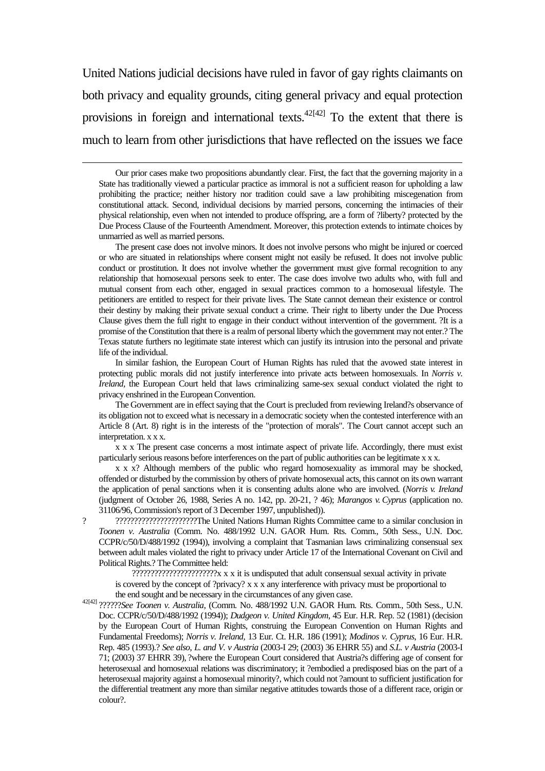United Nations judicial decisions have ruled in favor of gay rights claimants on both privacy and equality grounds, citing general privacy and equal protection provisions in foreign and international texts.<sup>42[42]</sup> To the extent that there is much to learn from other jurisdictions that have reflected on the issues we face

1

Our prior cases make two propositions abundantly clear. First, the fact that the governing majority in a State has traditionally viewed a particular practice as immoral is not a sufficient reason for upholding a law prohibiting the practice; neither history nor tradition could save a law prohibiting miscegenation from constitutional attack. Second, individual decisions by married persons, concerning the intimacies of their physical relationship, even when not intended to produce offspring, are a form of ?liberty? protected by the Due Process Clause of the Fourteenth Amendment. Moreover, this protection extends to intimate choices by unmarried as well as married persons.

The present case does not involve minors. It does not involve persons who might be injured or coerced or who are situated in relationships where consent might not easily be refused. It does not involve public conduct or prostitution. It does not involve whether the government must give formal recognition to any relationship that homosexual persons seek to enter. The case does involve two adults who, with full and mutual consent from each other, engaged in sexual practices common to a homosexual lifestyle. The petitioners are entitled to respect for their private lives. The State cannot demean their existence or control their destiny by making their private sexual conduct a crime. Their right to liberty under the Due Process Clause gives them the full right to engage in their conduct without intervention of the government. ?It is a promise of the Constitution that there is a realm of personal liberty which the government may not enter.? The Texas statute furthers no legitimate state interest which can justify its intrusion into the personal and private life of the individual.

In similar fashion, the European Court of Human Rights has ruled that the avowed state interest in protecting public morals did not justify interference into private acts between homosexuals. In *Norris v. Ireland*, the European Court held that laws criminalizing same-sex sexual conduct violated the right to privacy enshrined in the European Convention.

The Government are in effect saying that the Court is precluded from reviewing Ireland?s observance of its obligation not to exceed what is necessary in a democratic society when the contested interference with an Article 8 (Art. 8) right is in the interests of the "protection of morals". The Court cannot accept such an interpretation. x x x.

x x x The present case concerns a most intimate aspect of private life. Accordingly, there must exist particularly serious reasons before interferences on the part of public authorities can be legitimate x x x.

x x x? Although members of the public who regard homosexuality as immoral may be shocked, offended or disturbed by the commission by others of private homosexual acts, this cannot on its own warrant the application of penal sanctions when it is consenting adults alone who are involved. (*Norris v. Ireland* (judgment of October 26, 1988, Series A no. 142, pp. 20-21, ? 46); *Marangos v. Cyprus* (application no. 31106/96, Commission's report of 3 December 1997, unpublished)).

? ??????????????????????The United Nations Human Rights Committee came to a similar conclusion in *Toonen v. Australia* (Comm. No. 488/1992 U.N. GAOR Hum. Rts. Comm., 50th Sess., U.N. Doc. CCPR/c/50/D/488/1992 (1994)), involving a complaint that Tasmanian laws criminalizing consensual sex between adult males violated the right to privacy under Article 17 of the International Covenant on Civil and Political Rights.? The Committee held:

???????????????????????x x x it is undisputed that adult consensual sexual activity in private is covered by the concept of ?privacy?  $x \times x$  any interference with privacy must be proportional to the end sought and be necessary in the circumstances of any given case.

42[42] ??????*See Toonen v. Australia*, (Comm. No. 488/1992 U.N. GAOR Hum. Rts. Comm., 50th Sess., U.N. Doc. CCPR/c/50/D/488/1992 (1994)); *Dudgeon v. United Kingdom*, 45 Eur. H.R. Rep. 52 (1981) (decision by the European Court of Human Rights, construing the European Convention on Human Rights and Fundamental Freedoms); *Norris v. Ireland,* 13 Eur. Ct. H.R. 186 (1991); *Modinos v. Cyprus*, 16 Eur. H.R. Rep. 485 (1993).? *See also*, *L. and V. v Austria* (2003-I 29; (2003) 36 EHRR 55) and *S.L. v Austria* (2003-I 71; (2003) 37 EHRR 39), ?where the European Court considered that Austria?s differing age of consent for heterosexual and homosexual relations was discriminatory; it ?embodied a predisposed bias on the part of a heterosexual majority against a homosexual minority?, which could not ?amount to sufficient justification for the differential treatment any more than similar negative attitudes towards those of a different race, origin or colour?.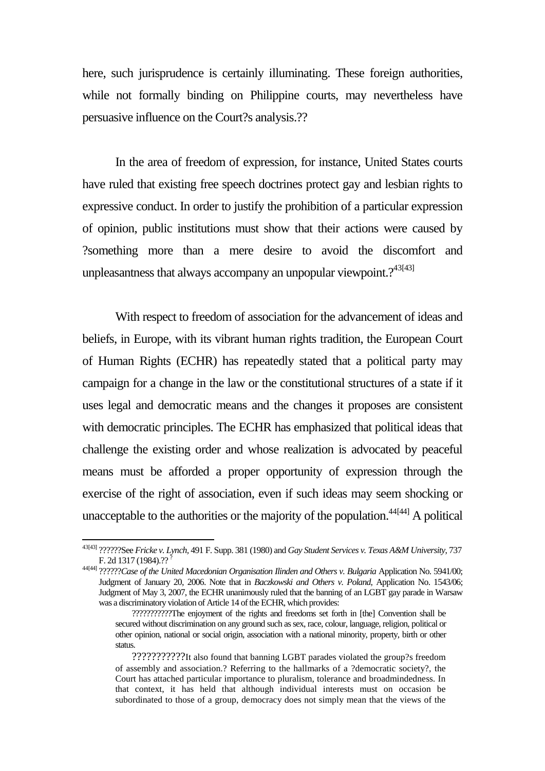here, such jurisprudence is certainly illuminating. These foreign authorities, while not formally binding on Philippine courts, may nevertheless have persuasive influence on the Court?s analysis.??

In the area of freedom of expression, for instance, United States courts have ruled that existing free speech doctrines protect gay and lesbian rights to expressive conduct. In order to justify the prohibition of a particular expression of opinion, public institutions must show that their actions were caused by ?something more than a mere desire to avoid the discomfort and unpleasantness that always accompany an unpopular viewpoint. $?^{43[43]}$ 

With respect to freedom of association for the advancement of ideas and beliefs, in Europe, with its vibrant human rights tradition, the European Court of Human Rights (ECHR) has repeatedly stated that a political party may campaign for a change in the law or the constitutional structures of a state if it uses legal and democratic means and the changes it proposes are consistent with democratic principles. The ECHR has emphasized that political ideas that challenge the existing order and whose realization is advocated by peaceful means must be afforded a proper opportunity of expression through the exercise of the right of association, even if such ideas may seem shocking or unacceptable to the authorities or the majority of the population.  $44[44]$  A political

<u>.</u>

<sup>43[43]</sup> ??????See *Fricke v. Lynch,* 491 F. Supp. 381 (1980) and *Gay Student Services v. Texas A&M University*, 737 F. 2d 1317 (1984).??

<sup>44[44]</sup> ??????*Case of the United Macedonian Organisation Ilinden and Others v. Bulgaria* Application No. 5941/00; Judgment of January 20, 2006. Note that in *Baczkowski and Others v. Poland*, Application No. 1543/06; Judgment of May 3, 2007, the ECHR unanimously ruled that the banning of an LGBT gay parade in Warsaw was a discriminatory violation of Article 14 of the ECHR, which provides:

<sup>???????????</sup>The enjoyment of the rights and freedoms set forth in [the] Convention shall be secured without discrimination on any ground such as sex, race, colour, language, religion, political or other opinion, national or social origin, association with a national minority, property, birth or other status.

<sup>???????????</sup>It also found that banning LGBT parades violated the group?s freedom of assembly and association.? Referring to the hallmarks of a ?democratic society?, the Court has attached particular importance to pluralism, tolerance and broadmindedness. In that context, it has held that although individual interests must on occasion be subordinated to those of a group, democracy does not simply mean that the views of the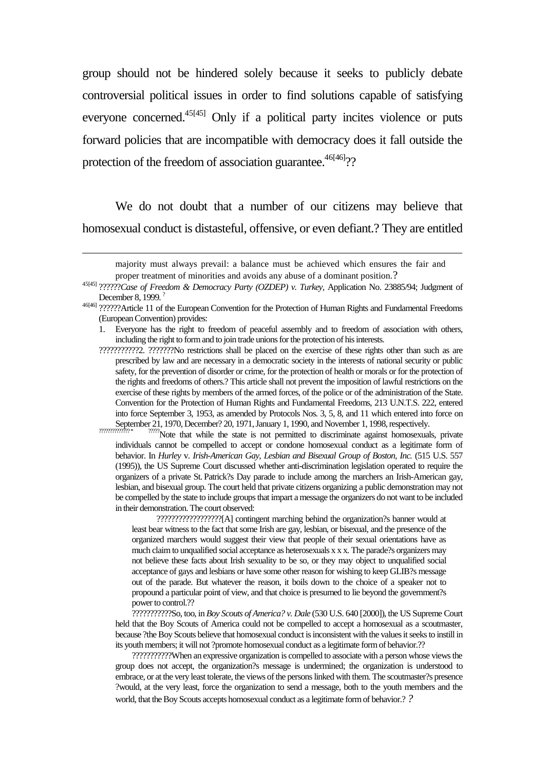group should not be hindered solely because it seeks to publicly debate controversial political issues in order to find solutions capable of satisfying everyone concerned.<sup>45[45]</sup> Only if a political party incites violence or puts forward policies that are incompatible with democracy does it fall outside the protection of the freedom of association guarantee.<sup>46[46]</sup>??

We do not doubt that a number of our citizens may believe that homosexual conduct is distasteful, offensive, or even defiant.? They are entitled

1

?????????????? \* ?????Note that while the state is not permitted to discriminate against homosexuals, private individuals cannot be compelled to accept or condone homosexual conduct as a legitimate form of behavior. In *Hurley* v. *Irish-American Gay, Lesbian and Bisexual Group of Boston, Inc.* [\(515 U.S. 557](http://www.law.cornell.edu/supct-cgi/get-us-cite?515+557) (1995))*,* the US Supreme Court discussed whether anti-discrimination legislation operated to require the organizers of a private St. Patrick?s Day parade to include among the marchers an Irish-American gay, lesbian, and bisexual group. The court held that private citizens organizing a public demonstration may not be compelled by the state to include groups that impart a message the organizers do not want to be included in their demonstration. The court observed:

??????????????????[A] contingent marching behind the organization?s banner would at least bear witness to the fact that some Irish are gay, lesbian, or bisexual, and the presence of the organized marchers would suggest their view that people of their sexual orientations have as much claim to unqualified social acceptance as heterosexuals x x x. The parade?s organizers may not believe these facts about Irish sexuality to be so, or they may object to unqualified social acceptance of gays and lesbians or have some other reason for wishing to keep GLIB?s message out of the parade. But whatever the reason, it boils down to the choice of a speaker not to propound a particular point of view, and that choice is presumed to lie beyond the government?s power to control.??

???????????So, too, in *Boy Scouts of America? v. Dale* (53[0 U.S.](http://en.wikipedia.org/wiki/United_States_Reports) [640](http://supreme.justia.com/us/530/640/case.html) [2000]), the US Supreme Court held that the Boy Scouts of America could not be compelled to accept a homosexual as a scoutmaster, because ?the Boy Scouts believe that homosexual conduct is inconsistent with the values it seeks to instill in its youth members; it will not ?promote homosexual conduct as a legitimate form of behavior.??

???????????When an expressive organization is compelled to associate with a person whose views the group does not accept, the organization?s message is undermined; the organization is understood to embrace, or at the very least tolerate, the views of the persons linked with them. The scoutmaster?s presence ?would, at the very least, force the organization to send a message, both to the youth members and the world, that the Boy Scouts accepts homosexual conduct as a legitimate form of behavior.? *?*

majority must always prevail: a balance must be achieved which ensures the fair and proper treatment of minorities and avoids any abuse of a dominant position.?

<sup>45[45]</sup> ??????*Case of Freedom & Democracy Party (OZDEP) v. Turkey,* Application No. 23885/94; Judgment of December 8, 1999. ?

<sup>46[46]</sup> ??????Article 11 of the European Convention for the Protection of Human Rights and Fundamental Freedoms (European Convention) provides:

<sup>1.</sup> Everyone has the right to freedom of peaceful assembly and to freedom of association with others, including the right to form and to join trade unions for the protection of his interests.

<sup>???????????2.</sup> ???????No restrictions shall be placed on the exercise of these rights other than such as are prescribed by law and are necessary in a democratic society in the interests of national security or public safety, for the prevention of disorder or crime, for the protection of health or morals or for the protection of the rights and freedoms of others.? This article shall not prevent the imposition of lawful restrictions on the exercise of these rights by members of the armed forces, of the police or of the administration of the State. Convention for the Protection of Human Rights and Fundamental Freedoms, 213 U.N.T.S. 222, entered into force September 3, 1953, as amended by Protocols Nos. 3, 5, 8, and 11 which entered into force on September 21, 1970, December? 20, 1971, January 1, 1990, and November 1, 1998, respectively.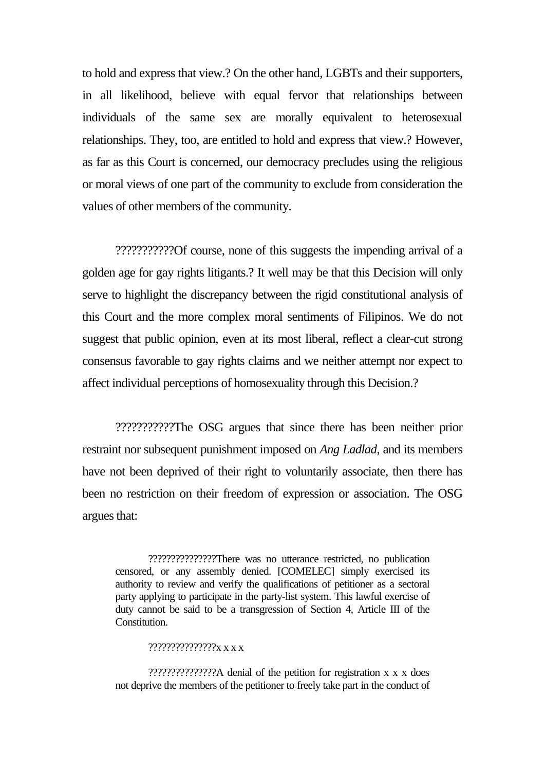to hold and express that view.? On the other hand, LGBTs and their supporters, in all likelihood, believe with equal fervor that relationships between individuals of the same sex are morally equivalent to heterosexual relationships. They, too, are entitled to hold and express that view.? However, as far as this Court is concerned, our democracy precludes using the religious or moral views of one part of the community to exclude from consideration the values of other members of the community.

???????????Of course, none of this suggests the impending arrival of a golden age for gay rights litigants.? It well may be that this Decision will only serve to highlight the discrepancy between the rigid constitutional analysis of this Court and the more complex moral sentiments of Filipinos. We do not suggest that public opinion, even at its most liberal, reflect a clear-cut strong consensus favorable to gay rights claims and we neither attempt nor expect to affect individual perceptions of homosexuality through this Decision.?

???????????The OSG argues that since there has been neither prior restraint nor subsequent punishment imposed on *Ang Ladlad*, and its members have not been deprived of their right to voluntarily associate, then there has been no restriction on their freedom of expression or association. The OSG argues that:

???????????????There was no utterance restricted, no publication censored, or any assembly denied. [COMELEC] simply exercised its authority to review and verify the qualifications of petitioner as a sectoral party applying to participate in the party-list system. This lawful exercise of duty cannot be said to be a transgression of Section 4, Article III of the Constitution.

#### ???????????????x x x x

???????????????A denial of the petition for registration x x x does not deprive the members of the petitioner to freely take part in the conduct of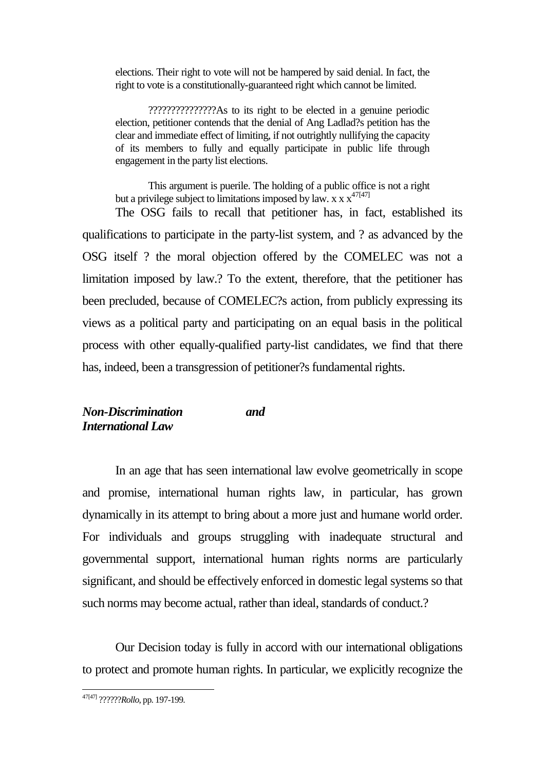elections. Their right to vote will not be hampered by said denial. In fact, the right to vote is a constitutionally-guaranteed right which cannot be limited.

???????????????As to its right to be elected in a genuine periodic election, petitioner contends that the denial of Ang Ladlad?s petition has the clear and immediate effect of limiting, if not outrightly nullifying the capacity of its members to fully and equally participate in public life through engagement in the party list elections.

This argument is puerile. The holding of a public office is not a right but a privilege subject to limitations imposed by law. x x  $x^{47[47]}$ 

The OSG fails to recall that petitioner has, in fact, established its qualifications to participate in the party-list system, and ? as advanced by the OSG itself ? the moral objection offered by the COMELEC was not a limitation imposed by law.? To the extent, therefore, that the petitioner has been precluded, because of COMELEC?s action, from publicly expressing its views as a political party and participating on an equal basis in the political process with other equally-qualified party-list candidates, we find that there has, indeed, been a transgression of petitioner?s fundamental rights.

*Non-Discrimination and International Law*

In an age that has seen international law evolve geometrically in scope and promise, international human rights law, in particular, has grown dynamically in its attempt to bring about a more just and humane world order. For individuals and groups struggling with inadequate structural and governmental support, international human rights norms are particularly significant, and should be effectively enforced in domestic legal systems so that such norms may become actual, rather than ideal, standards of conduct.?

Our Decision today is fully in accord with our international obligations to protect and promote human rights. In particular, we explicitly recognize the

<sup>47[47]</sup> ??????*Rollo*, pp. 197-199.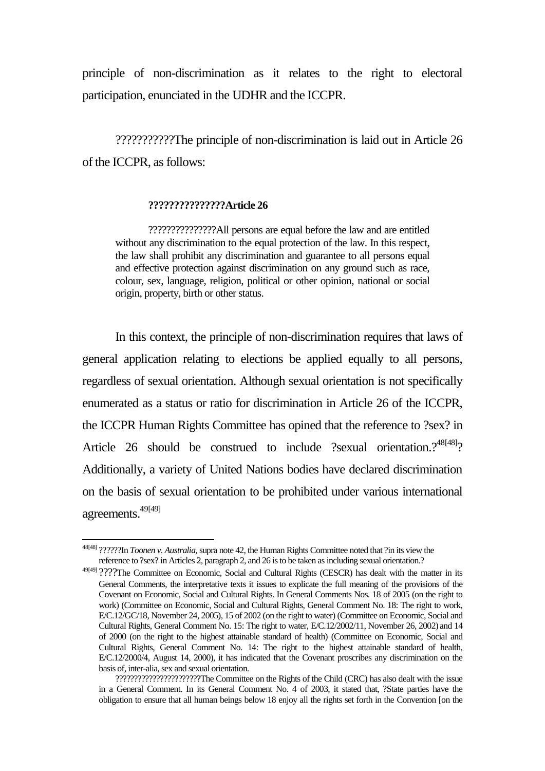principle of non-discrimination as it relates to the right to electoral participation, enunciated in the UDHR and the ICCPR.

???????????The principle of non-discrimination is laid out in Article 26 of the ICCPR, as follows:

### **???????????????Article 26**

???????????????All persons are equal before the law and are entitled without any discrimination to the equal protection of the law. In this respect, the law shall prohibit any discrimination and guarantee to all persons equal and effective protection against discrimination on any ground such as race, colour, sex, language, religion, political or other opinion, national or social origin, property, birth or other status.

In this context, the principle of non-discrimination requires that laws of general application relating to elections be applied equally to all persons, regardless of sexual orientation. Although sexual orientation is not specifically enumerated as a status or ratio for discrimination in Article 26 of the ICCPR, the ICCPR Human Rights Committee has opined that the reference to ?sex? in Article 26 should be construed to include ?sexual orientation.?<sup>48[48]</sup>? Additionally, a variety of United Nations bodies have declared discrimination on the basis of sexual orientation to be prohibited under various international agreements.<sup>49[49]</sup>

<u>.</u>

<sup>48[48]</sup> ??????In *Toonen v. Australia,* supra note 42, the Human Rights Committee noted that ?in its view the reference to ?sex? in Articles 2, paragraph 2, and 26 is to be taken as including sexual orientation.?

<sup>49[49] ?????</sup>The Committee on Economic, Social and Cultural Rights (CESCR) has dealt with the matter in its General Comments, the interpretative texts it issues to explicate the full meaning of the provisions of the Covenant on Economic, Social and Cultural Rights. In General Comments Nos. 18 of 2005 (on the right to work) (Committee on Economic, Social and Cultural Rights, General Comment No. 18: The right to work, E/C.12/GC/18, November 24, 2005), 15 of 2002 (on the right to water) (Committee on Economic, Social and Cultural Rights, General Comment No. 15: The right to water, E/C.12/2002/11, November 26, 2002) and 14 of 2000 (on the right to the highest attainable standard of health) (Committee on Economic, Social and Cultural Rights, General Comment No. 14: The right to the highest attainable standard of health, E/C.12/2000/4, August 14, 2000), it has indicated that the Covenant proscribes any discrimination on the basis of, inter-alia, sex and sexual orientation.

<sup>???????????????????????</sup>The Committee on the Rights of the Child (CRC) has also dealt with the issue in a General Comment. In its General Comment No. 4 of 2003, it stated that, ?State parties have the obligation to ensure that all human beings below 18 enjoy all the rights set forth in the Convention [on the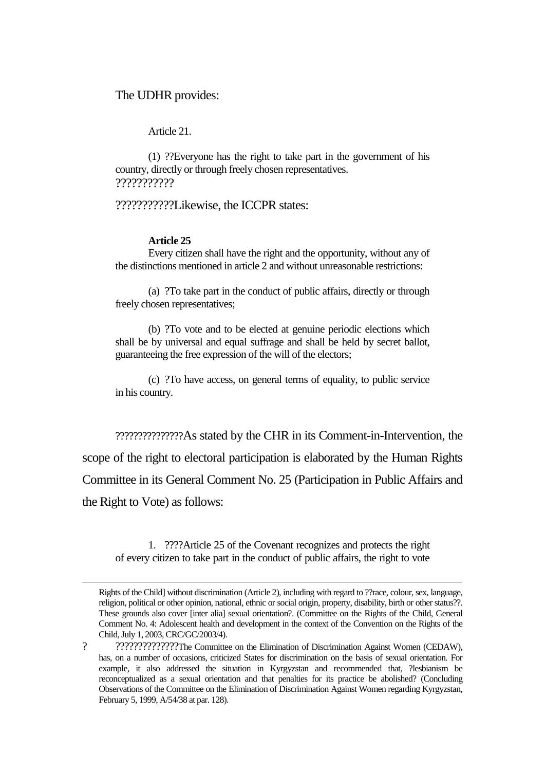### The UDHR provides:

Article 21.

(1) ??Everyone has the right to take part in the government of his country, directly or through freely chosen representatives. ???????????

???????????Likewise, the ICCPR states:

#### **Article 25**

1

Every citizen shall have the right and the opportunity, without any of the distinctions mentioned in article 2 and without unreasonable restrictions:

(a) ?To take part in the conduct of public affairs, directly or through freely chosen representatives;

(b) ?To vote and to be elected at genuine periodic elections which shall be by universal and equal suffrage and shall be held by secret ballot, guaranteeing the free expression of the will of the electors;

(c) ?To have access, on general terms of equality, to public service in his country.

???????????????As stated by the CHR in its Comment-in-Intervention*,* the scope of the right to electoral participation is elaborated by the Human Rights Committee in its General Comment No. 25 (Participation in Public Affairs and the Right to Vote) as follows:

1. ????Article 25 of the Covenant recognizes and protects the right of every citizen to take part in the conduct of public affairs, the right to vote

Rights of the Child] without discrimination (Article 2), including with regard to ??race, colour, sex, language, religion, political or other opinion, national, ethnic or social origin, property, disability, birth or other status??. These grounds also cover [inter alia] sexual orientation?. (Committee on the Rights of the Child, General Comment No. 4: Adolescent health and development in the context of the Convention on the Rights of the Child, July 1, 2003, CRC/GC/2003/4).

<sup>?</sup> ??????????????The Committee on the Elimination of Discrimination Against Women (CEDAW), has, on a number of occasions, criticized States for discrimination on the basis of sexual orientation. For example, it also addressed the situation in Kyrgyzstan and recommended that, ?lesbianism be reconceptualized as a sexual orientation and that penalties for its practice be abolished? (Concluding Observations of the Committee on the Elimination of Discrimination Against Women regarding Kyrgyzstan, February 5, 1999, A/54/38 at par. 128).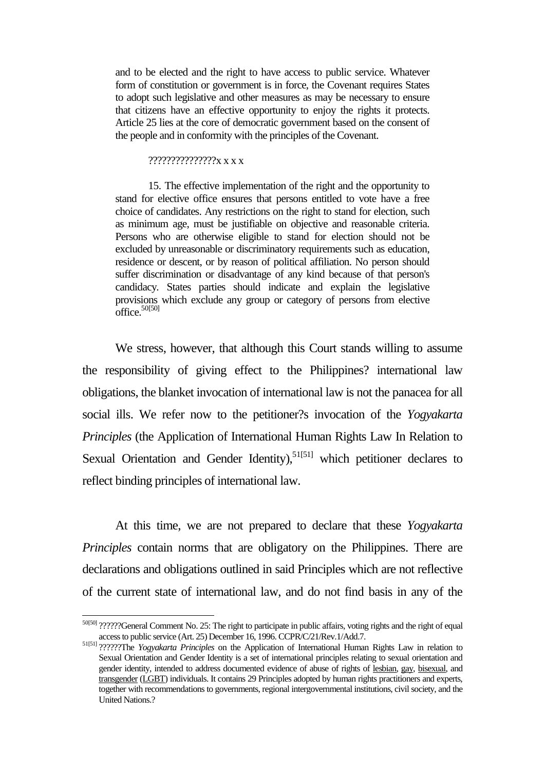and to be elected and the right to have access to public service. Whatever form of constitution or government is in force, the Covenant requires States to adopt such legislative and other measures as may be necessary to ensure that citizens have an effective opportunity to enjoy the rights it protects. Article 25 lies at the core of democratic government based on the consent of the people and in conformity with the principles of the Covenant.

#### ???????????????x x x x

15. The effective implementation of the right and the opportunity to stand for elective office ensures that persons entitled to vote have a free choice of candidates. Any restrictions on the right to stand for election, such as minimum age, must be justifiable on objective and reasonable criteria. Persons who are otherwise eligible to stand for election should not be excluded by unreasonable or discriminatory requirements such as education, residence or descent, or by reason of political affiliation. No person should suffer discrimination or disadvantage of any kind because of that person's candidacy. States parties should indicate and explain the legislative provisions which exclude any group or category of persons from elective  $\overline{\text{office}}^{50[50]}$ 

We stress, however, that although this Court stands willing to assume the responsibility of giving effect to the Philippines? international law obligations, the blanket invocation of international law is not the panacea for all social ills. We refer now to the petitioner?s invocation of the *Yogyakarta Principles* (the Application of International Human Rights Law In Relation to Sexual Orientation and Gender Identity), $51[51]$  which petitioner declares to reflect binding principles of international law.

At this time, we are not prepared to declare that these *Yogyakarta Principles* contain norms that are obligatory on the Philippines. There are declarations and obligations outlined in said Principles which are not reflective of the current state of international law, and do not find basis in any of the

 $50[50]$  ???????General Comment No. 25: The right to participate in public affairs, voting rights and the right of equal access to public service (Art. 25) December 16, 1996. CCPR/C/21/Rev.1/Add.7.

<sup>51[51]</sup> ??????The *Yogyakarta Principles* on the Application of International Human Rights Law in relation to Sexual Orientation and Gender Identity is a set of international principles relating to sexual orientation and gender identity, intended to address documented evidence of abuse of rights of [lesbian,](http://en.wikipedia.org/wiki/Lesbian) [gay,](http://en.wikipedia.org/wiki/Gay) [bisexual,](http://en.wikipedia.org/wiki/Bisexual) and [transgender](http://en.wikipedia.org/wiki/Transgender) [\(LGBT\)](http://en.wikipedia.org/wiki/LGBT) individuals. It contains 29 Principles adopted by human rights practitioners and experts, together with recommendations to governments, regional intergovernmental institutions, civil society, and the United Nations.?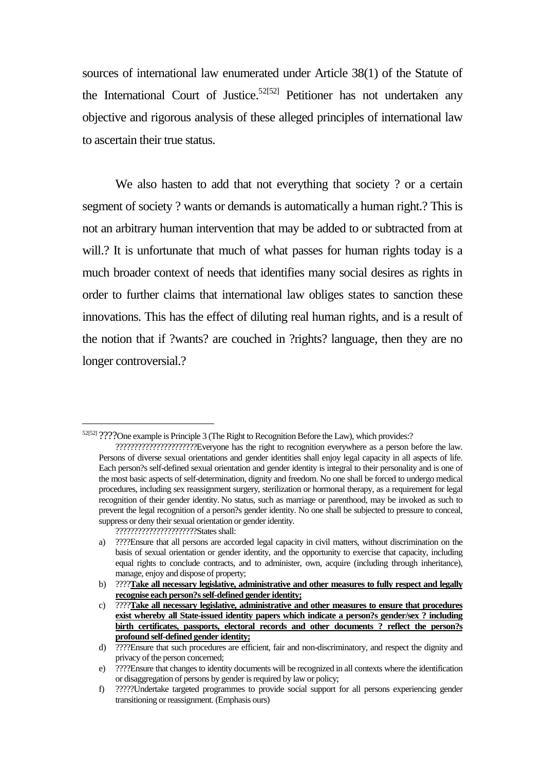sources of international law enumerated under Article 38(1) of the Statute of the International Court of Justice.<sup>52[52]</sup> Petitioner has not undertaken any objective and rigorous analysis of these alleged principles of international law to ascertain their true status.

We also hasten to add that not everything that society ? or a certain segment of society ? wants or demands is automatically a human right.? This is not an arbitrary human intervention that may be added to or subtracted from at will.? It is unfortunate that much of what passes for human rights today is a much broader context of needs that identifies many social desires as rights in order to further claims that international law obliges states to sanction these innovations. This has the effect of diluting real human rights, and is a result of the notion that if ?wants? are couched in ?rights? language, then they are no longer controversial.?

<sup>52[52] ?????</sup>One example is Principle 3 (The Right to Recognition Before the Law), which provides:?

<sup>??????????????????????</sup>Everyone has the right to recognition everywhere as a person before the law. Persons of diverse sexual orientations and gender identities shall enjoy legal capacity in all aspects of life. Each person?s self-defined sexual orientation and gender identity is integral to their personality and is one of the most basic aspects of self-determination, dignity and freedom. No one shall be forced to undergo medical procedures, including sex reassignment surgery, sterilization or hormonal therapy, as a requirement for legal recognition of their gender identity. No status, such as marriage or parenthood, may be invoked as such to prevent the legal recognition of a person?s gender identity. No one shall be subjected to pressure to conceal, suppress or deny their sexual orientation or gender identity.

<sup>??????????????????????</sup>States shall:

a) ????Ensure that all persons are accorded legal capacity in civil matters, without discrimination on the basis of sexual orientation or gender identity, and the opportunity to exercise that capacity, including equal rights to conclude contracts, and to administer, own, acquire (including through inheritance), manage, enjoy and dispose of property;

b) ????**Take all necessary legislative, administrative and other measures to fully respect and legally recognise each person?s self-defined gender identity;**

c) ????**Take all necessary legislative, administrative and other measures to ensure that procedures exist whereby all State-issued identity papers which indicate a person?s gender/sex ? including birth certificates, passports, electoral records and other documents ? reflect the person?s profound self-defined gender identity;**

d) ????Ensure that such procedures are efficient, fair and non-discriminatory, and respect the dignity and privacy of the person concerned;

e) ????Ensure that changes to identity documents will be recognized in all contexts where the identification or disaggregation of persons by gender is required by law or policy;

f) ?????Undertake targeted programmes to provide social support for all persons experiencing gender transitioning or reassignment. (Emphasis ours)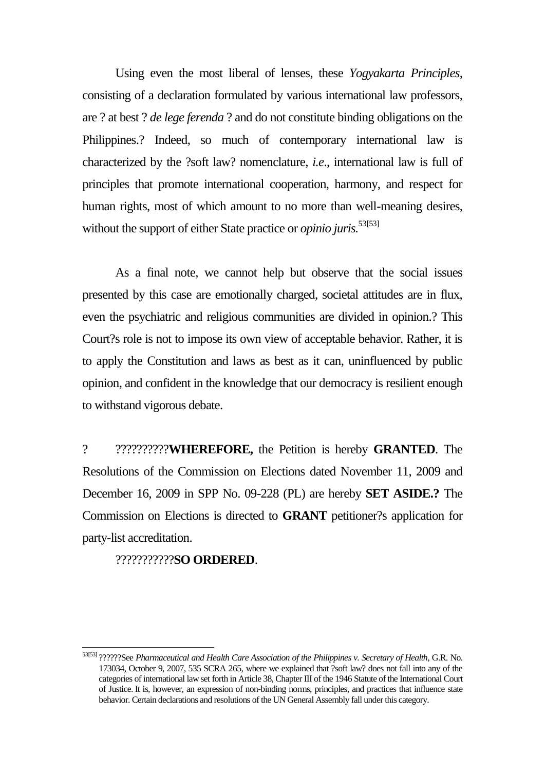Using even the most liberal of lenses, these *Yogyakarta Principles*, consisting of a declaration formulated by various international law professors, are ? at best ? *de lege ferenda* ? and do not constitute binding obligations on the Philippines.? Indeed, so much of contemporary international law is characterized by the ?soft law? nomenclature, *i.e*., international law is full of principles that promote international cooperation, harmony, and respect for human rights, most of which amount to no more than well-meaning desires, without the support of either State practice or *opinio juris.*53[53]

As a final note, we cannot help but observe that the social issues presented by this case are emotionally charged, societal attitudes are in flux, even the psychiatric and religious communities are divided in opinion.? This Court?s role is not to impose its own view of acceptable behavior. Rather, it is to apply the Constitution and laws as best as it can, uninfluenced by public opinion, and confident in the knowledge that our democracy is resilient enough to withstand vigorous debate.

? ??????????**WHEREFORE,** the Petition is hereby **GRANTED**. The Resolutions of the Commission on Elections dated November 11, 2009 and December 16, 2009 in SPP No. 09-228 (PL) are hereby **SET ASIDE.?** The Commission on Elections is directed to **GRANT** petitioner?s application for party-list accreditation.

???????????**SO ORDERED**.

<u>.</u>

<sup>53[53]</sup> ??????See *Pharmaceutical and Health Care Association of the Philippines v. Secretary of Health*, G.R. No. 173034, October 9, 2007, 535 SCRA 265, where we explained that ?soft law? does not fall into any of the categories of international law set forth in Article 38, Chapter III of the 1946 Statute of the International Court of Justice. It is, however, an expression of non-binding norms, principles, and practices that influence state behavior. Certain declarations and resolutions of the UN General Assembly fall under this category.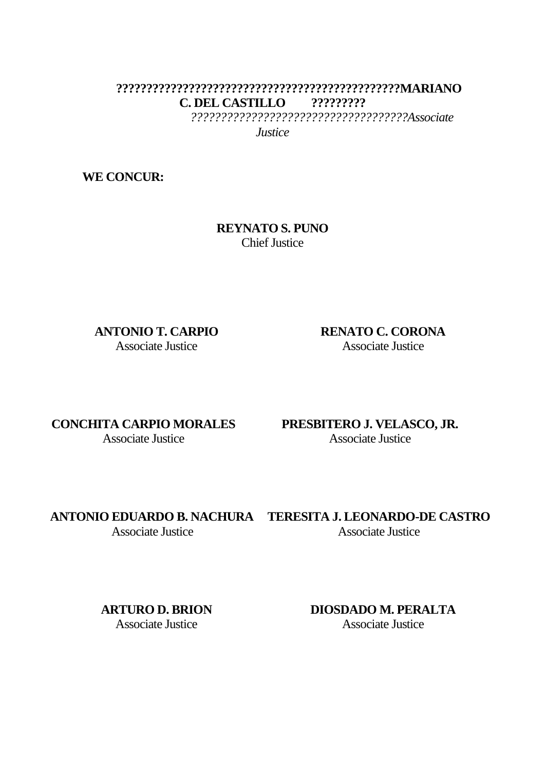# **???????????????????????????????????????????????MARIANO C. DEL CASTILLO ?????????**

*????????????????????????????????????Associate* 

*Justice*

**WE CONCUR:**

**REYNATO S. PUNO** Chief Justice

**ANTONIO T. CARPIO** Associate Justice

**RENATO C. CORONA** Associate Justice

**CONCHITA CARPIO MORALES PRESBITERO J. VELASCO, JR.** Associate Justice

Associate Justice

Associate Justice

**ANTONIO EDUARDO B. NACHURA TERESITA J. LEONARDO-DE CASTRO** Associate Justice

> **ARTURO D. BRION** Associate Justice

**DIOSDADO M. PERALTA** Associate Justice